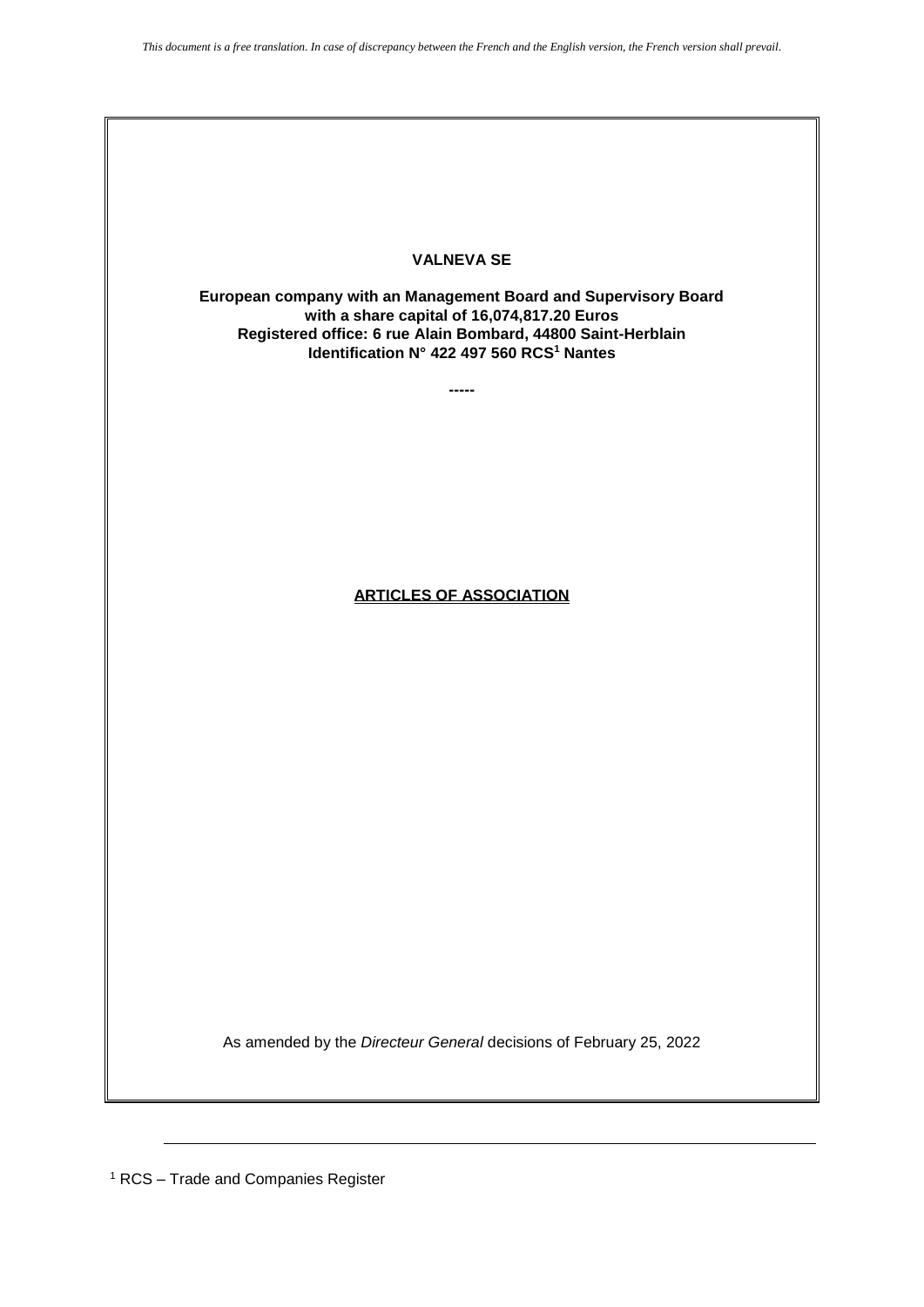

As amended by the *Directeur General* decisions of February 25, 2022

<sup>1</sup> RCS – Trade and Companies Register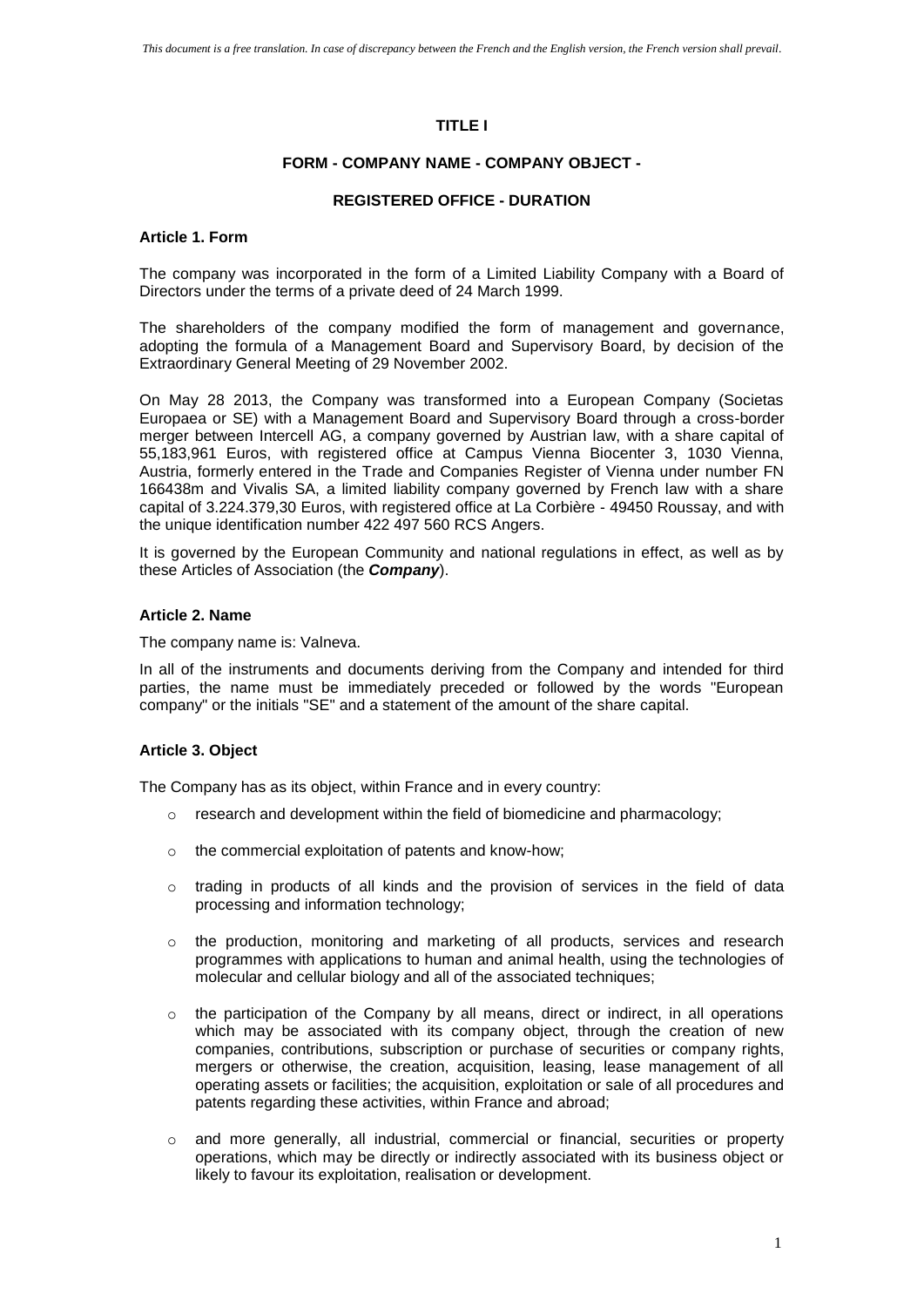## **TITLE I**

### **FORM - COMPANY NAME - COMPANY OBJECT -**

#### **REGISTERED OFFICE - DURATION**

### **Article 1. Form**

The company was incorporated in the form of a Limited Liability Company with a Board of Directors under the terms of a private deed of 24 March 1999.

The shareholders of the company modified the form of management and governance, adopting the formula of a Management Board and Supervisory Board, by decision of the Extraordinary General Meeting of 29 November 2002.

On May 28 2013, the Company was transformed into a European Company (Societas Europaea or SE) with a Management Board and Supervisory Board through a cross-border merger between Intercell AG, a company governed by Austrian law, with a share capital of 55,183,961 Euros, with registered office at Campus Vienna Biocenter 3, 1030 Vienna, Austria, formerly entered in the Trade and Companies Register of Vienna under number FN 166438m and Vivalis SA, a limited liability company governed by French law with a share capital of 3.224.379,30 Euros, with registered office at La Corbière - 49450 Roussay, and with the unique identification number 422 497 560 RCS Angers.

It is governed by the European Community and national regulations in effect, as well as by these Articles of Association (the *Company*).

#### **Article 2. Name**

The company name is: Valneva.

In all of the instruments and documents deriving from the Company and intended for third parties, the name must be immediately preceded or followed by the words "European company" or the initials "SE" and a statement of the amount of the share capital.

#### **Article 3. Object**

The Company has as its object, within France and in every country:

- $\circ$  research and development within the field of biomedicine and pharmacology;
- o the commercial exploitation of patents and know-how;
- $\circ$  trading in products of all kinds and the provision of services in the field of data processing and information technology;
- $\circ$  the production, monitoring and marketing of all products, services and research programmes with applications to human and animal health, using the technologies of molecular and cellular biology and all of the associated techniques;
- $\circ$  the participation of the Company by all means, direct or indirect, in all operations which may be associated with its company object, through the creation of new companies, contributions, subscription or purchase of securities or company rights, mergers or otherwise, the creation, acquisition, leasing, lease management of all operating assets or facilities; the acquisition, exploitation or sale of all procedures and patents regarding these activities, within France and abroad;
- o and more generally, all industrial, commercial or financial, securities or property operations, which may be directly or indirectly associated with its business object or likely to favour its exploitation, realisation or development.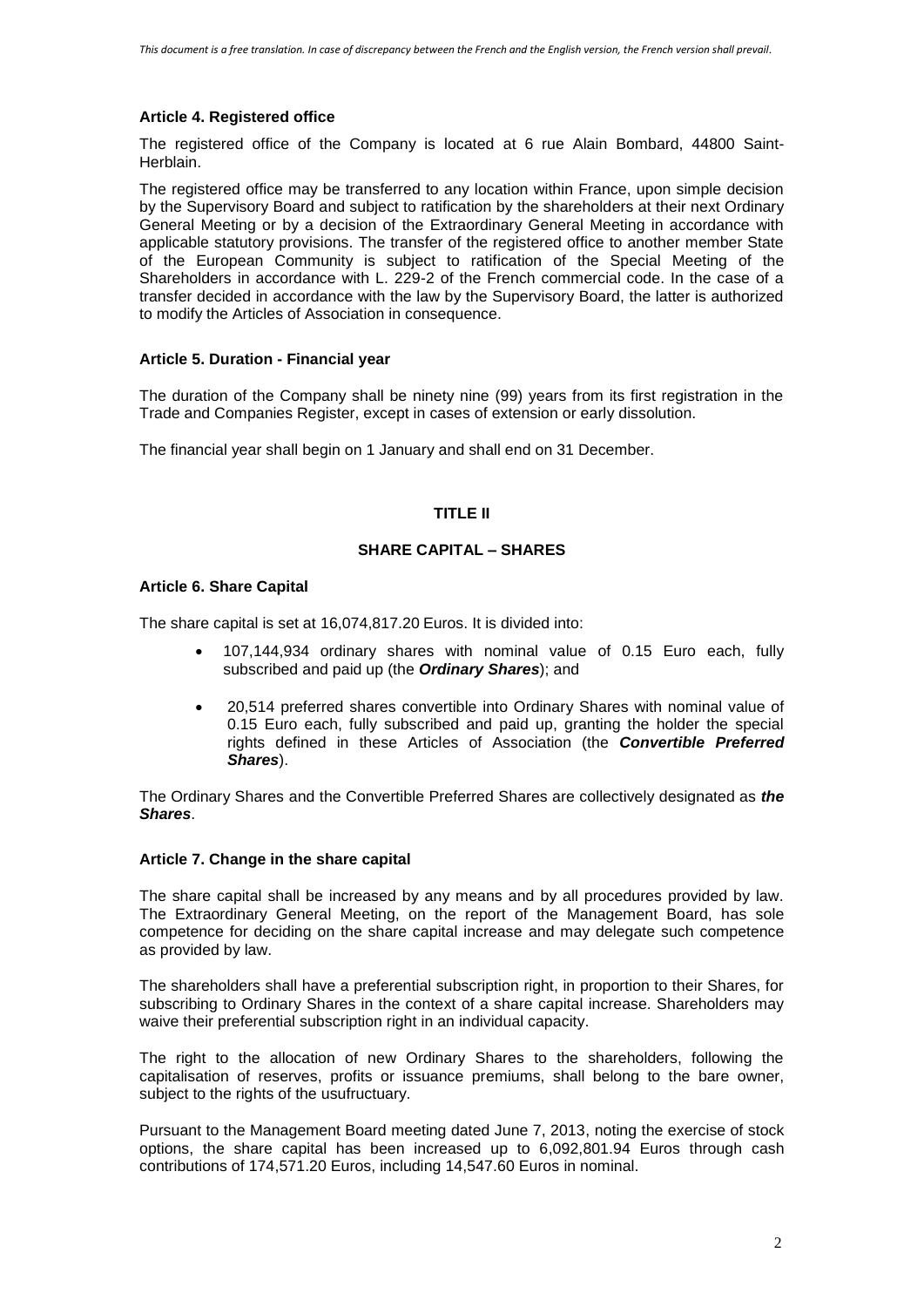# **Article 4. Registered office**

The registered office of the Company is located at 6 rue Alain Bombard, 44800 Saint-Herblain.

The registered office may be transferred to any location within France, upon simple decision by the Supervisory Board and subject to ratification by the shareholders at their next Ordinary General Meeting or by a decision of the Extraordinary General Meeting in accordance with applicable statutory provisions. The transfer of the registered office to another member State of the European Community is subject to ratification of the Special Meeting of the Shareholders in accordance with L. 229-2 of the French commercial code. In the case of a transfer decided in accordance with the law by the Supervisory Board, the latter is authorized to modify the Articles of Association in consequence.

# **Article 5. Duration - Financial year**

The duration of the Company shall be ninety nine (99) years from its first registration in the Trade and Companies Register, except in cases of extension or early dissolution.

The financial year shall begin on 1 January and shall end on 31 December.

# **TITLE II**

# **SHARE CAPITAL – SHARES**

# **Article 6. Share Capital**

The share capital is set at 16,074,817.20 Euros. It is divided into:

- 107,144,934 ordinary shares with nominal value of 0.15 Euro each, fully subscribed and paid up (the *Ordinary Shares*); and
- 20,514 preferred shares convertible into Ordinary Shares with nominal value of 0.15 Euro each, fully subscribed and paid up, granting the holder the special rights defined in these Articles of Association (the *Convertible Preferred Shares*).

The Ordinary Shares and the Convertible Preferred Shares are collectively designated as *the Shares*.

### **Article 7. Change in the share capital**

The share capital shall be increased by any means and by all procedures provided by law. The Extraordinary General Meeting, on the report of the Management Board, has sole competence for deciding on the share capital increase and may delegate such competence as provided by law.

The shareholders shall have a preferential subscription right, in proportion to their Shares, for subscribing to Ordinary Shares in the context of a share capital increase. Shareholders may waive their preferential subscription right in an individual capacity.

The right to the allocation of new Ordinary Shares to the shareholders, following the capitalisation of reserves, profits or issuance premiums, shall belong to the bare owner, subject to the rights of the usufructuary.

Pursuant to the Management Board meeting dated June 7, 2013, noting the exercise of stock options, the share capital has been increased up to 6,092,801.94 Euros through cash contributions of 174,571.20 Euros, including 14,547.60 Euros in nominal.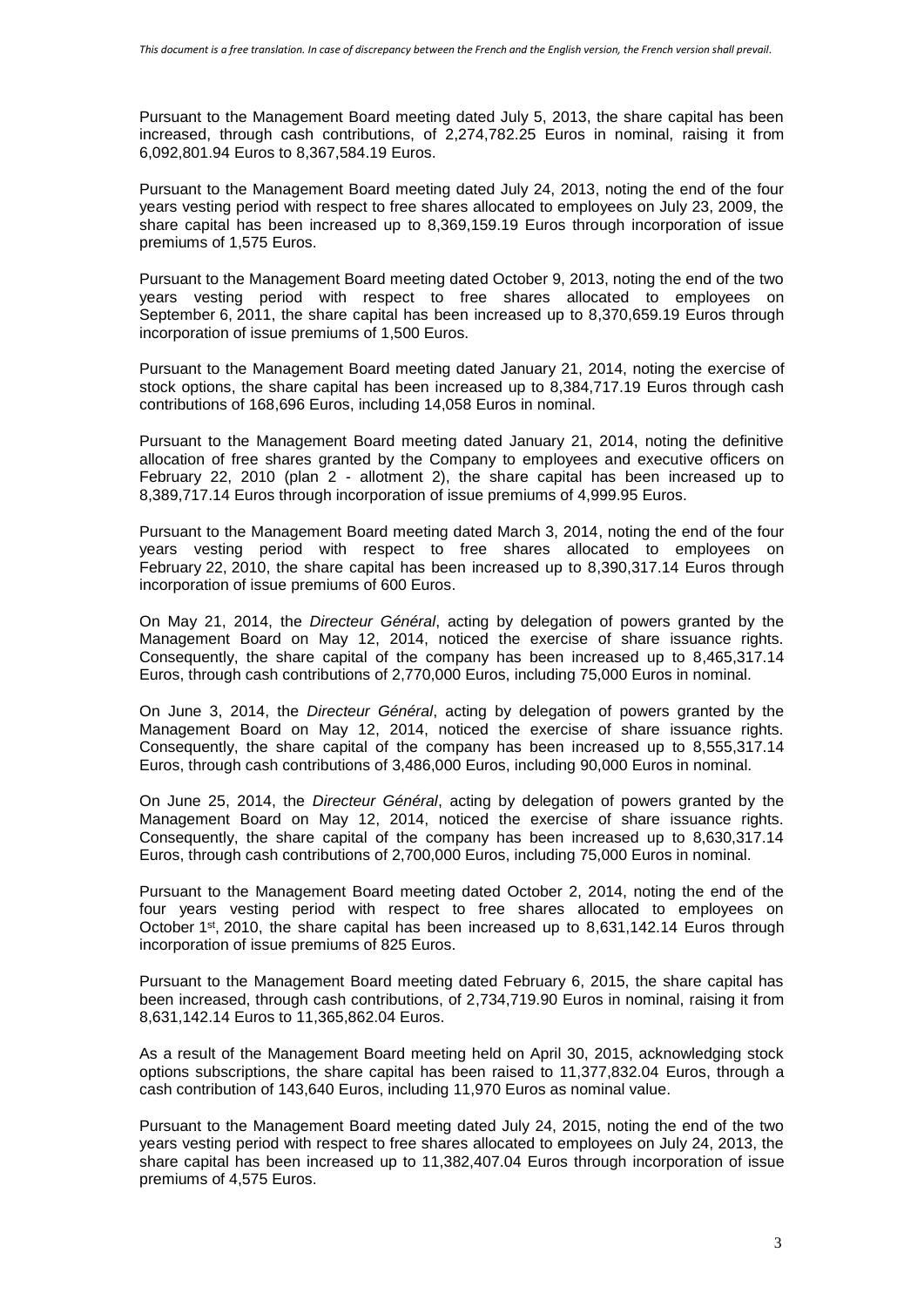Pursuant to the Management Board meeting dated July 5, 2013, the share capital has been increased, through cash contributions, of 2,274,782.25 Euros in nominal, raising it from 6,092,801.94 Euros to 8,367,584.19 Euros.

Pursuant to the Management Board meeting dated July 24, 2013, noting the end of the four years vesting period with respect to free shares allocated to employees on July 23, 2009, the share capital has been increased up to 8,369,159.19 Euros through incorporation of issue premiums of 1,575 Euros.

Pursuant to the Management Board meeting dated October 9, 2013, noting the end of the two years vesting period with respect to free shares allocated to employees on September 6, 2011, the share capital has been increased up to 8,370,659.19 Euros through incorporation of issue premiums of 1,500 Euros.

Pursuant to the Management Board meeting dated January 21, 2014, noting the exercise of stock options, the share capital has been increased up to 8,384,717.19 Euros through cash contributions of 168,696 Euros, including 14,058 Euros in nominal.

Pursuant to the Management Board meeting dated January 21, 2014, noting the definitive allocation of free shares granted by the Company to employees and executive officers on February 22, 2010 (plan 2 - allotment 2), the share capital has been increased up to 8,389,717.14 Euros through incorporation of issue premiums of 4,999.95 Euros.

Pursuant to the Management Board meeting dated March 3, 2014, noting the end of the four years vesting period with respect to free shares allocated to employees on February 22, 2010, the share capital has been increased up to 8,390,317.14 Euros through incorporation of issue premiums of 600 Euros.

On May 21, 2014, the *Directeur Général*, acting by delegation of powers granted by the Management Board on May 12, 2014, noticed the exercise of share issuance rights. Consequently, the share capital of the company has been increased up to 8,465,317.14 Euros, through cash contributions of 2,770,000 Euros, including 75,000 Euros in nominal.

On June 3, 2014, the *Directeur Général*, acting by delegation of powers granted by the Management Board on May 12, 2014, noticed the exercise of share issuance rights. Consequently, the share capital of the company has been increased up to 8,555,317.14 Euros, through cash contributions of 3,486,000 Euros, including 90,000 Euros in nominal.

On June 25, 2014, the *Directeur Général*, acting by delegation of powers granted by the Management Board on May 12, 2014, noticed the exercise of share issuance rights. Consequently, the share capital of the company has been increased up to 8,630,317.14 Euros, through cash contributions of 2,700,000 Euros, including 75,000 Euros in nominal.

Pursuant to the Management Board meeting dated October 2, 2014, noting the end of the four years vesting period with respect to free shares allocated to employees on October  $1<sup>st</sup>$ , 2010, the share capital has been increased up to 8,631,142.14 Euros through incorporation of issue premiums of 825 Euros.

Pursuant to the Management Board meeting dated February 6, 2015, the share capital has been increased, through cash contributions, of 2,734,719.90 Euros in nominal, raising it from 8,631,142.14 Euros to 11,365,862.04 Euros.

As a result of the Management Board meeting held on April 30, 2015, acknowledging stock options subscriptions, the share capital has been raised to 11,377,832.04 Euros, through a cash contribution of 143,640 Euros, including 11,970 Euros as nominal value.

Pursuant to the Management Board meeting dated July 24, 2015, noting the end of the two years vesting period with respect to free shares allocated to employees on July 24, 2013, the share capital has been increased up to 11,382,407.04 Euros through incorporation of issue premiums of 4,575 Euros.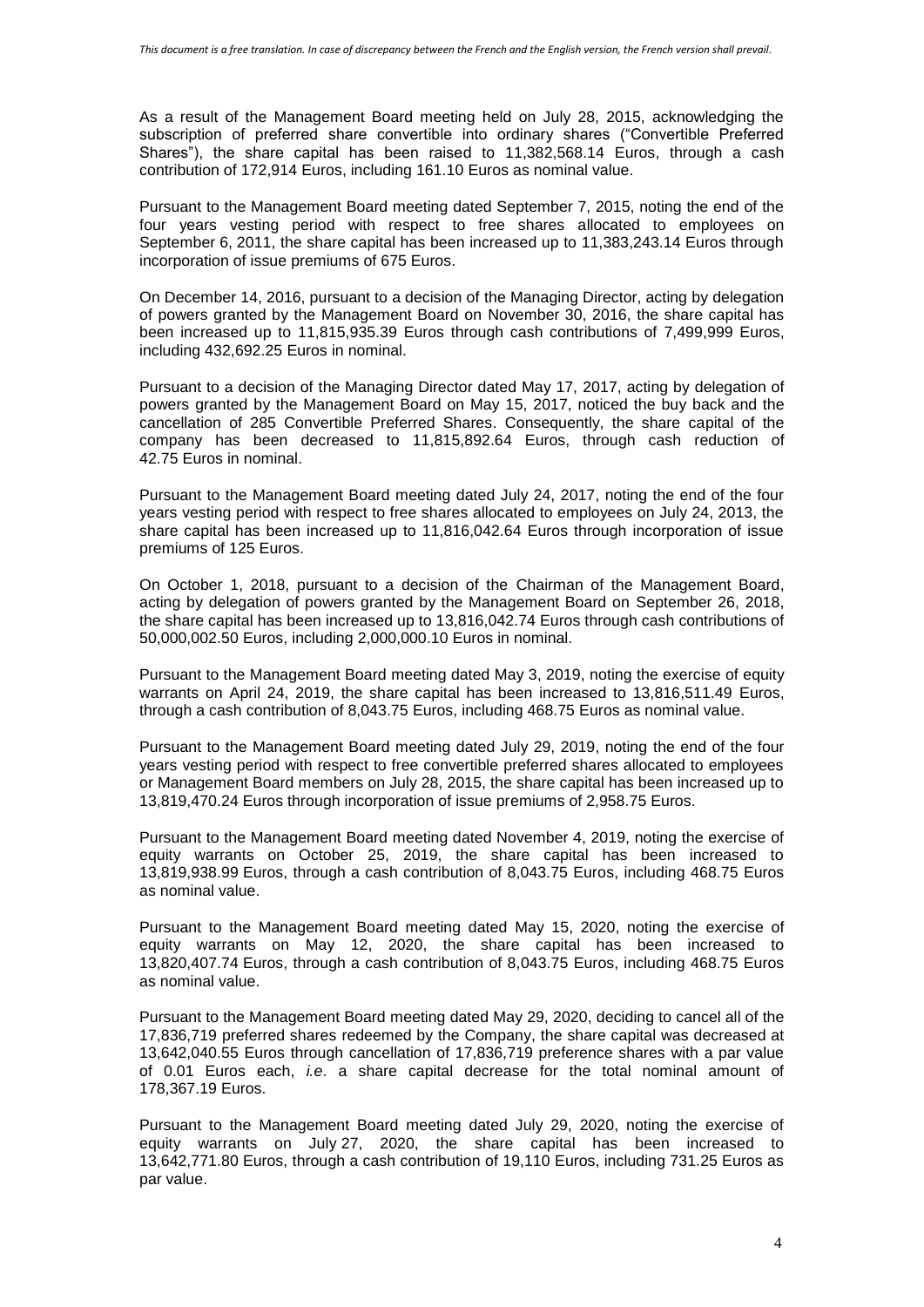As a result of the Management Board meeting held on July 28, 2015, acknowledging the subscription of preferred share convertible into ordinary shares ("Convertible Preferred Shares"), the share capital has been raised to 11,382,568.14 Euros, through a cash contribution of 172,914 Euros, including 161.10 Euros as nominal value.

Pursuant to the Management Board meeting dated September 7, 2015, noting the end of the four years vesting period with respect to free shares allocated to employees on September 6, 2011, the share capital has been increased up to 11,383,243.14 Euros through incorporation of issue premiums of 675 Euros.

On December 14, 2016, pursuant to a decision of the Managing Director, acting by delegation of powers granted by the Management Board on November 30, 2016, the share capital has been increased up to 11,815,935.39 Euros through cash contributions of 7,499,999 Euros, including 432,692.25 Euros in nominal.

Pursuant to a decision of the Managing Director dated May 17, 2017, acting by delegation of powers granted by the Management Board on May 15, 2017, noticed the buy back and the cancellation of 285 Convertible Preferred Shares. Consequently, the share capital of the company has been decreased to 11,815,892.64 Euros, through cash reduction of 42.75 Euros in nominal.

Pursuant to the Management Board meeting dated July 24, 2017, noting the end of the four years vesting period with respect to free shares allocated to employees on July 24, 2013, the share capital has been increased up to 11,816,042.64 Euros through incorporation of issue premiums of 125 Euros.

On October 1, 2018, pursuant to a decision of the Chairman of the Management Board, acting by delegation of powers granted by the Management Board on September 26, 2018, the share capital has been increased up to 13,816,042.74 Euros through cash contributions of 50,000,002.50 Euros, including 2,000,000.10 Euros in nominal.

Pursuant to the Management Board meeting dated May 3, 2019, noting the exercise of equity warrants on April 24, 2019, the share capital has been increased to 13,816,511.49 Euros, through a cash contribution of 8,043.75 Euros, including 468.75 Euros as nominal value.

Pursuant to the Management Board meeting dated July 29, 2019, noting the end of the four years vesting period with respect to free convertible preferred shares allocated to employees or Management Board members on July 28, 2015, the share capital has been increased up to 13,819,470.24 Euros through incorporation of issue premiums of 2,958.75 Euros.

Pursuant to the Management Board meeting dated November 4, 2019, noting the exercise of equity warrants on October 25, 2019, the share capital has been increased to 13,819,938.99 Euros, through a cash contribution of 8,043.75 Euros, including 468.75 Euros as nominal value.

Pursuant to the Management Board meeting dated May 15, 2020, noting the exercise of equity warrants on May 12, 2020, the share capital has been increased to 13,820,407.74 Euros, through a cash contribution of 8,043.75 Euros, including 468.75 Euros as nominal value.

Pursuant to the Management Board meeting dated May 29, 2020, deciding to cancel all of the 17,836,719 preferred shares redeemed by the Company, the share capital was decreased at 13,642,040.55 Euros through cancellation of 17,836,719 preference shares with a par value of 0.01 Euros each, *i.e*. a share capital decrease for the total nominal amount of 178,367.19 Euros.

Pursuant to the Management Board meeting dated July 29, 2020, noting the exercise of equity warrants on July 27, 2020, the share capital has been increased to 13,642,771.80 Euros, through a cash contribution of 19,110 Euros, including 731.25 Euros as par value.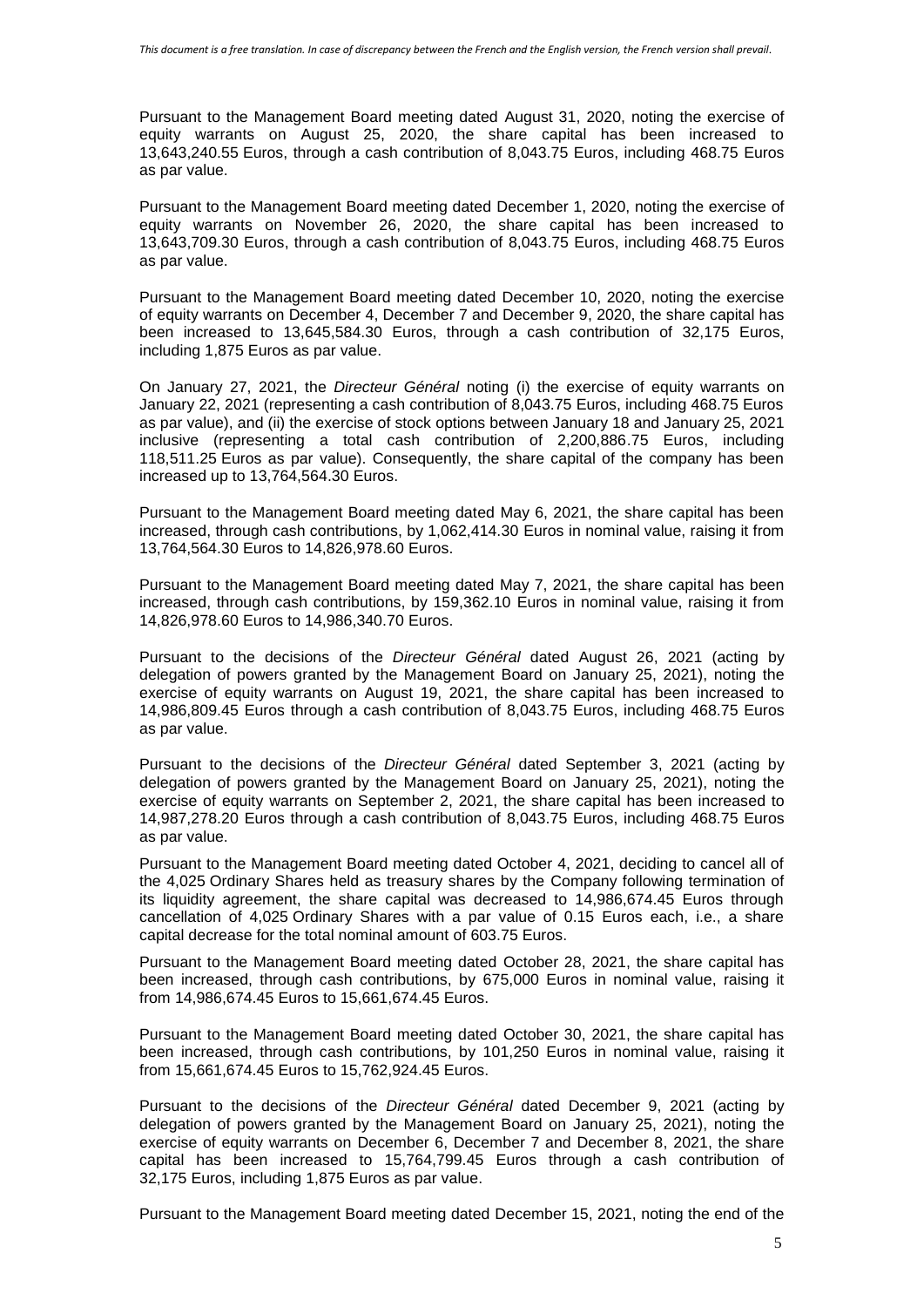Pursuant to the Management Board meeting dated August 31, 2020, noting the exercise of equity warrants on August 25, 2020, the share capital has been increased to 13,643,240.55 Euros, through a cash contribution of 8,043.75 Euros, including 468.75 Euros as par value.

Pursuant to the Management Board meeting dated December 1, 2020, noting the exercise of equity warrants on November 26, 2020, the share capital has been increased to 13,643,709.30 Euros, through a cash contribution of 8,043.75 Euros, including 468.75 Euros as par value.

Pursuant to the Management Board meeting dated December 10, 2020, noting the exercise of equity warrants on December 4, December 7 and December 9, 2020, the share capital has been increased to 13,645,584.30 Euros, through a cash contribution of 32,175 Euros, including 1,875 Euros as par value.

On January 27, 2021, the *Directeur Général* noting (i) the exercise of equity warrants on January 22, 2021 (representing a cash contribution of 8,043.75 Euros, including 468.75 Euros as par value), and (ii) the exercise of stock options between January 18 and January 25, 2021 inclusive (representing a total cash contribution of 2,200,886.75 Euros, including 118,511.25 Euros as par value). Consequently, the share capital of the company has been increased up to 13,764,564.30 Euros.

Pursuant to the Management Board meeting dated May 6, 2021, the share capital has been increased, through cash contributions, by 1,062,414.30 Euros in nominal value, raising it from 13,764,564.30 Euros to 14,826,978.60 Euros.

Pursuant to the Management Board meeting dated May 7, 2021, the share capital has been increased, through cash contributions, by 159,362.10 Euros in nominal value, raising it from 14,826,978.60 Euros to 14,986,340.70 Euros.

Pursuant to the decisions of the *Directeur Général* dated August 26, 2021 (acting by delegation of powers granted by the Management Board on January 25, 2021), noting the exercise of equity warrants on August 19, 2021, the share capital has been increased to 14,986,809.45 Euros through a cash contribution of 8,043.75 Euros, including 468.75 Euros as par value.

Pursuant to the decisions of the *Directeur Général* dated September 3, 2021 (acting by delegation of powers granted by the Management Board on January 25, 2021), noting the exercise of equity warrants on September 2, 2021, the share capital has been increased to 14,987,278.20 Euros through a cash contribution of 8,043.75 Euros, including 468.75 Euros as par value.

Pursuant to the Management Board meeting dated October 4, 2021, deciding to cancel all of the 4,025 Ordinary Shares held as treasury shares by the Company following termination of its liquidity agreement, the share capital was decreased to 14,986,674.45 Euros through cancellation of 4,025 Ordinary Shares with a par value of 0.15 Euros each, i.e., a share capital decrease for the total nominal amount of 603.75 Euros.

Pursuant to the Management Board meeting dated October 28, 2021, the share capital has been increased, through cash contributions, by 675,000 Euros in nominal value, raising it from 14,986,674.45 Euros to 15,661,674.45 Euros.

Pursuant to the Management Board meeting dated October 30, 2021, the share capital has been increased, through cash contributions, by 101,250 Euros in nominal value, raising it from 15,661,674.45 Euros to 15,762,924.45 Euros.

Pursuant to the decisions of the *Directeur Général* dated December 9, 2021 (acting by delegation of powers granted by the Management Board on January 25, 2021), noting the exercise of equity warrants on December 6, December 7 and December 8, 2021, the share capital has been increased to 15,764,799.45 Euros through a cash contribution of 32,175 Euros, including 1,875 Euros as par value.

Pursuant to the Management Board meeting dated December 15, 2021, noting the end of the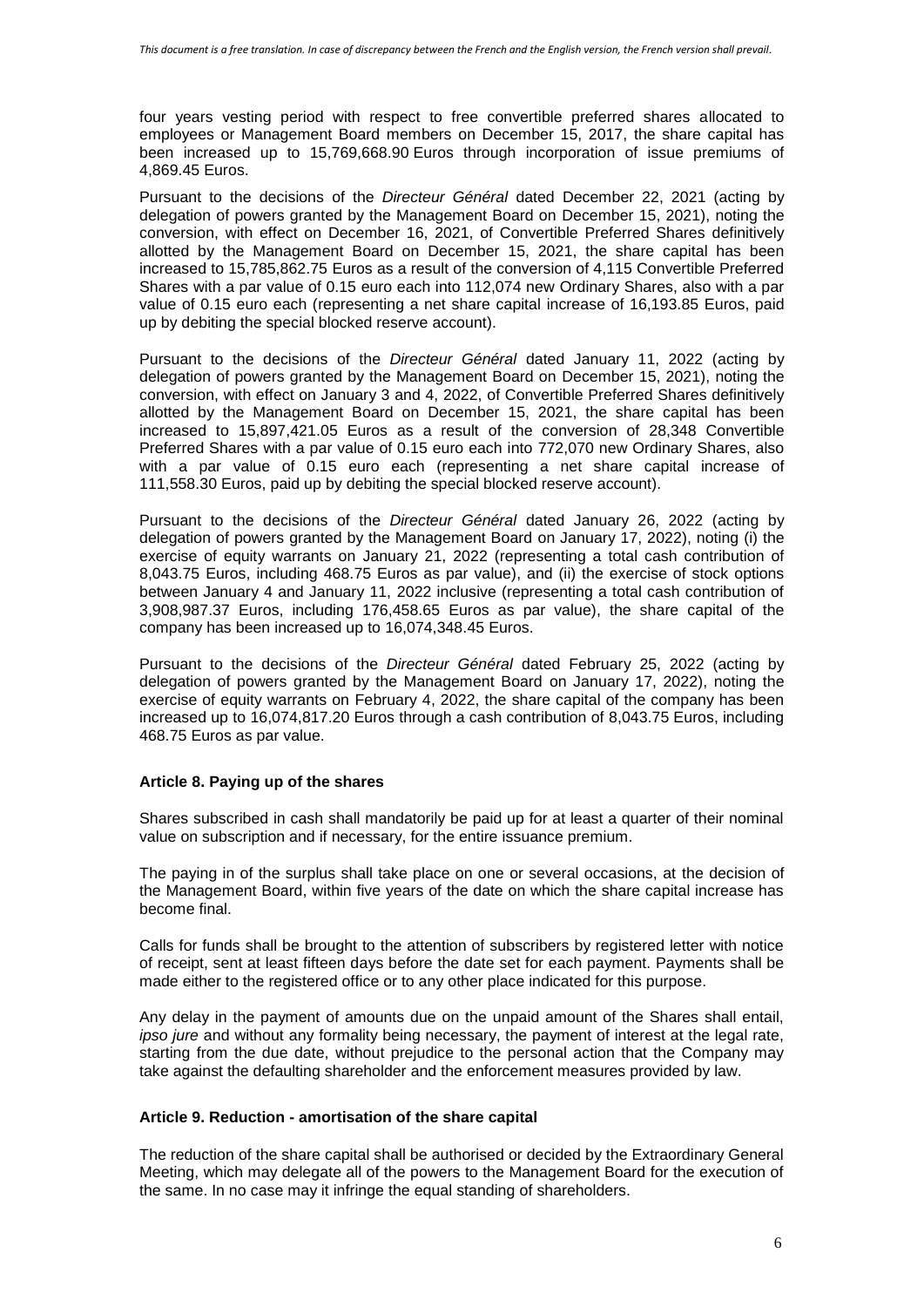four years vesting period with respect to free convertible preferred shares allocated to employees or Management Board members on December 15, 2017, the share capital has been increased up to 15,769,668.90 Euros through incorporation of issue premiums of 4,869.45 Euros.

Pursuant to the decisions of the *Directeur Général* dated December 22, 2021 (acting by delegation of powers granted by the Management Board on December 15, 2021), noting the conversion, with effect on December 16, 2021, of Convertible Preferred Shares definitively allotted by the Management Board on December 15, 2021, the share capital has been increased to 15,785,862.75 Euros as a result of the conversion of 4,115 Convertible Preferred Shares with a par value of 0.15 euro each into 112,074 new Ordinary Shares, also with a par value of 0.15 euro each (representing a net share capital increase of 16,193.85 Euros, paid up by debiting the special blocked reserve account).

Pursuant to the decisions of the *Directeur Général* dated January 11, 2022 (acting by delegation of powers granted by the Management Board on December 15, 2021), noting the conversion, with effect on January 3 and 4, 2022, of Convertible Preferred Shares definitively allotted by the Management Board on December 15, 2021, the share capital has been increased to 15,897,421.05 Euros as a result of the conversion of 28,348 Convertible Preferred Shares with a par value of 0.15 euro each into 772,070 new Ordinary Shares, also with a par value of 0.15 euro each (representing a net share capital increase of 111,558.30 Euros, paid up by debiting the special blocked reserve account).

Pursuant to the decisions of the *Directeur Général* dated January 26, 2022 (acting by delegation of powers granted by the Management Board on January 17, 2022), noting (i) the exercise of equity warrants on January 21, 2022 (representing a total cash contribution of 8,043.75 Euros, including 468.75 Euros as par value), and (ii) the exercise of stock options between January 4 and January 11, 2022 inclusive (representing a total cash contribution of 3,908,987.37 Euros, including 176,458.65 Euros as par value), the share capital of the company has been increased up to 16,074,348.45 Euros.

Pursuant to the decisions of the *Directeur Général* dated February 25, 2022 (acting by delegation of powers granted by the Management Board on January 17, 2022), noting the exercise of equity warrants on February 4, 2022, the share capital of the company has been increased up to 16,074,817.20 Euros through a cash contribution of 8,043.75 Euros, including 468.75 Euros as par value.

### **Article 8. Paying up of the shares**

Shares subscribed in cash shall mandatorily be paid up for at least a quarter of their nominal value on subscription and if necessary, for the entire issuance premium.

The paying in of the surplus shall take place on one or several occasions, at the decision of the Management Board, within five years of the date on which the share capital increase has become final.

Calls for funds shall be brought to the attention of subscribers by registered letter with notice of receipt, sent at least fifteen days before the date set for each payment. Payments shall be made either to the registered office or to any other place indicated for this purpose.

Any delay in the payment of amounts due on the unpaid amount of the Shares shall entail, *ipso jure* and without any formality being necessary, the payment of interest at the legal rate, starting from the due date, without prejudice to the personal action that the Company may take against the defaulting shareholder and the enforcement measures provided by law.

### **Article 9. Reduction - amortisation of the share capital**

The reduction of the share capital shall be authorised or decided by the Extraordinary General Meeting, which may delegate all of the powers to the Management Board for the execution of the same. In no case may it infringe the equal standing of shareholders.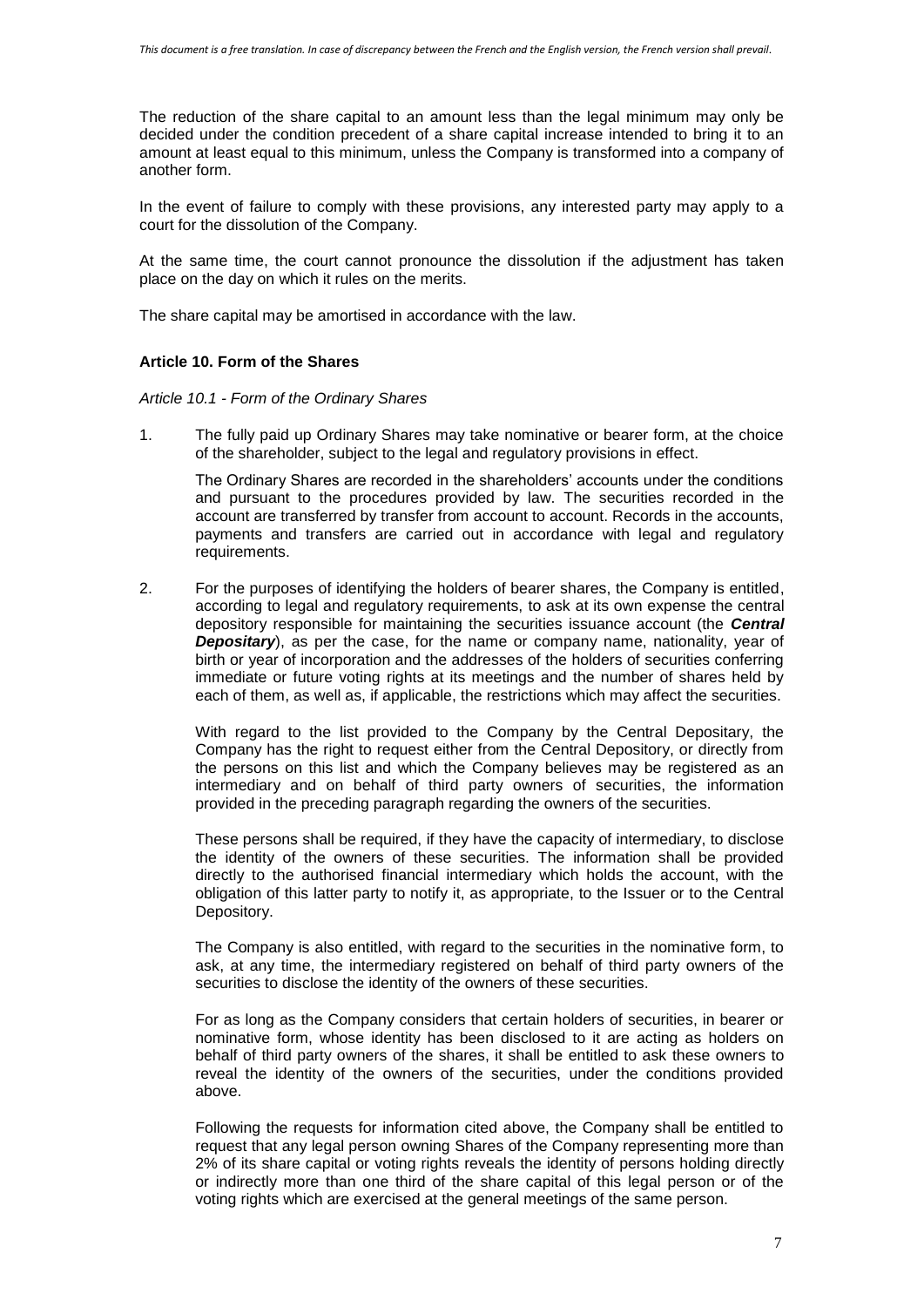The reduction of the share capital to an amount less than the legal minimum may only be decided under the condition precedent of a share capital increase intended to bring it to an amount at least equal to this minimum, unless the Company is transformed into a company of another form.

In the event of failure to comply with these provisions, any interested party may apply to a court for the dissolution of the Company.

At the same time, the court cannot pronounce the dissolution if the adjustment has taken place on the day on which it rules on the merits.

The share capital may be amortised in accordance with the law.

### **Article 10. Form of the Shares**

*Article 10.1 - Form of the Ordinary Shares*

1. The fully paid up Ordinary Shares may take nominative or bearer form, at the choice of the shareholder, subject to the legal and regulatory provisions in effect.

The Ordinary Shares are recorded in the shareholders' accounts under the conditions and pursuant to the procedures provided by law. The securities recorded in the account are transferred by transfer from account to account. Records in the accounts, payments and transfers are carried out in accordance with legal and regulatory requirements.

2. For the purposes of identifying the holders of bearer shares, the Company is entitled, according to legal and regulatory requirements, to ask at its own expense the central depository responsible for maintaining the securities issuance account (the *Central Depositary*), as per the case, for the name or company name, nationality, year of birth or year of incorporation and the addresses of the holders of securities conferring immediate or future voting rights at its meetings and the number of shares held by each of them, as well as, if applicable, the restrictions which may affect the securities.

With regard to the list provided to the Company by the Central Depositary, the Company has the right to request either from the Central Depository, or directly from the persons on this list and which the Company believes may be registered as an intermediary and on behalf of third party owners of securities, the information provided in the preceding paragraph regarding the owners of the securities.

These persons shall be required, if they have the capacity of intermediary, to disclose the identity of the owners of these securities. The information shall be provided directly to the authorised financial intermediary which holds the account, with the obligation of this latter party to notify it, as appropriate, to the Issuer or to the Central Depository.

The Company is also entitled, with regard to the securities in the nominative form, to ask, at any time, the intermediary registered on behalf of third party owners of the securities to disclose the identity of the owners of these securities.

For as long as the Company considers that certain holders of securities, in bearer or nominative form, whose identity has been disclosed to it are acting as holders on behalf of third party owners of the shares, it shall be entitled to ask these owners to reveal the identity of the owners of the securities, under the conditions provided above.

Following the requests for information cited above, the Company shall be entitled to request that any legal person owning Shares of the Company representing more than 2% of its share capital or voting rights reveals the identity of persons holding directly or indirectly more than one third of the share capital of this legal person or of the voting rights which are exercised at the general meetings of the same person.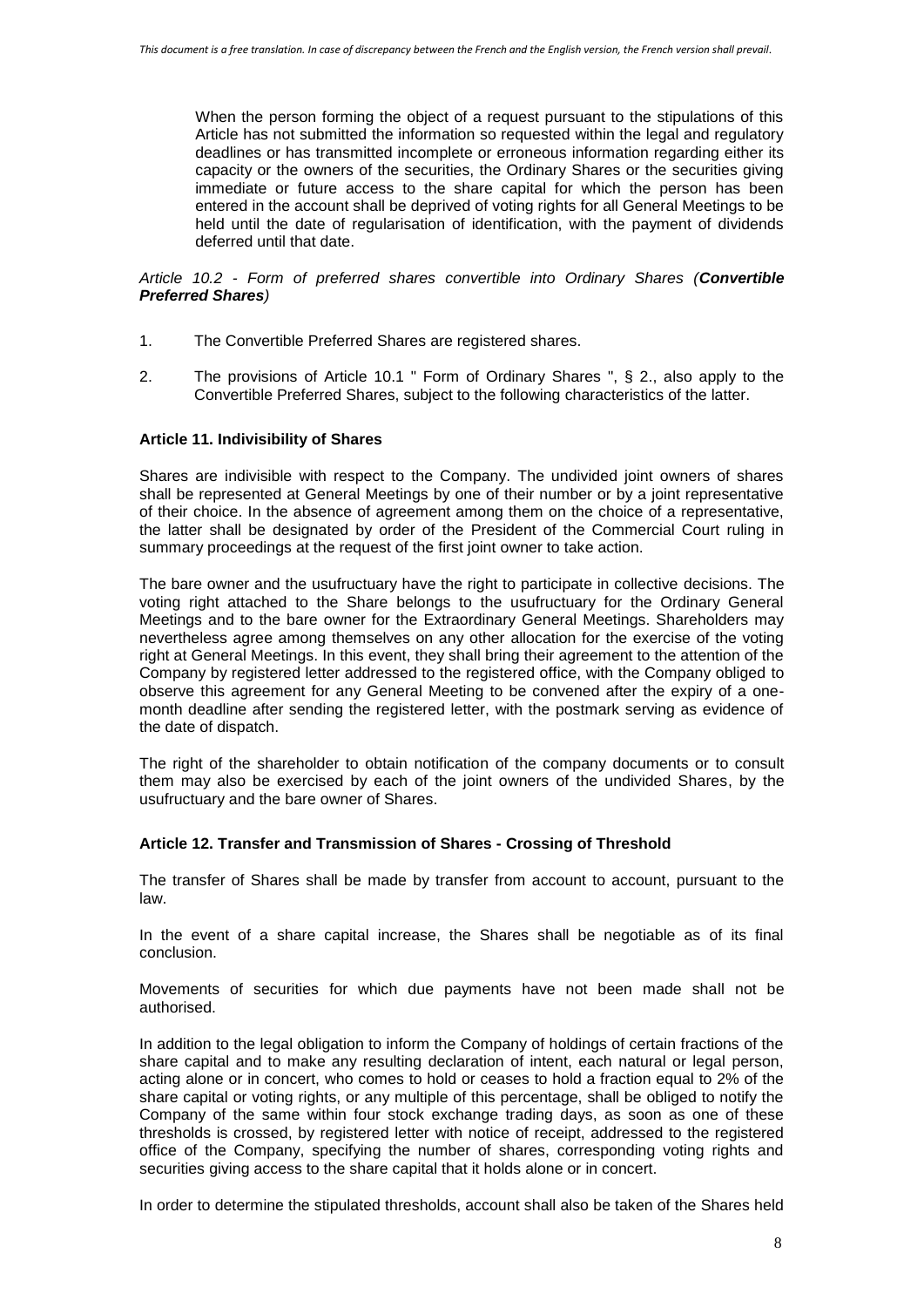When the person forming the object of a request pursuant to the stipulations of this Article has not submitted the information so requested within the legal and regulatory deadlines or has transmitted incomplete or erroneous information regarding either its capacity or the owners of the securities, the Ordinary Shares or the securities giving immediate or future access to the share capital for which the person has been entered in the account shall be deprived of voting rights for all General Meetings to be held until the date of regularisation of identification, with the payment of dividends deferred until that date.

*Article 10.2 - Form of preferred shares convertible into Ordinary Shares (Convertible Preferred Shares)*

- 1. The Convertible Preferred Shares are registered shares.
- 2. The provisions of Article 10.1 " Form of Ordinary Shares ", § 2., also apply to the Convertible Preferred Shares, subject to the following characteristics of the latter.

### **Article 11. Indivisibility of Shares**

Shares are indivisible with respect to the Company. The undivided joint owners of shares shall be represented at General Meetings by one of their number or by a joint representative of their choice. In the absence of agreement among them on the choice of a representative, the latter shall be designated by order of the President of the Commercial Court ruling in summary proceedings at the request of the first joint owner to take action.

The bare owner and the usufructuary have the right to participate in collective decisions. The voting right attached to the Share belongs to the usufructuary for the Ordinary General Meetings and to the bare owner for the Extraordinary General Meetings. Shareholders may nevertheless agree among themselves on any other allocation for the exercise of the voting right at General Meetings. In this event, they shall bring their agreement to the attention of the Company by registered letter addressed to the registered office, with the Company obliged to observe this agreement for any General Meeting to be convened after the expiry of a onemonth deadline after sending the registered letter, with the postmark serving as evidence of the date of dispatch.

The right of the shareholder to obtain notification of the company documents or to consult them may also be exercised by each of the joint owners of the undivided Shares, by the usufructuary and the bare owner of Shares.

### **Article 12. Transfer and Transmission of Shares - Crossing of Threshold**

The transfer of Shares shall be made by transfer from account to account, pursuant to the law.

In the event of a share capital increase, the Shares shall be negotiable as of its final conclusion.

Movements of securities for which due payments have not been made shall not be authorised.

In addition to the legal obligation to inform the Company of holdings of certain fractions of the share capital and to make any resulting declaration of intent, each natural or legal person, acting alone or in concert, who comes to hold or ceases to hold a fraction equal to 2% of the share capital or voting rights, or any multiple of this percentage, shall be obliged to notify the Company of the same within four stock exchange trading days, as soon as one of these thresholds is crossed, by registered letter with notice of receipt, addressed to the registered office of the Company, specifying the number of shares, corresponding voting rights and securities giving access to the share capital that it holds alone or in concert.

In order to determine the stipulated thresholds, account shall also be taken of the Shares held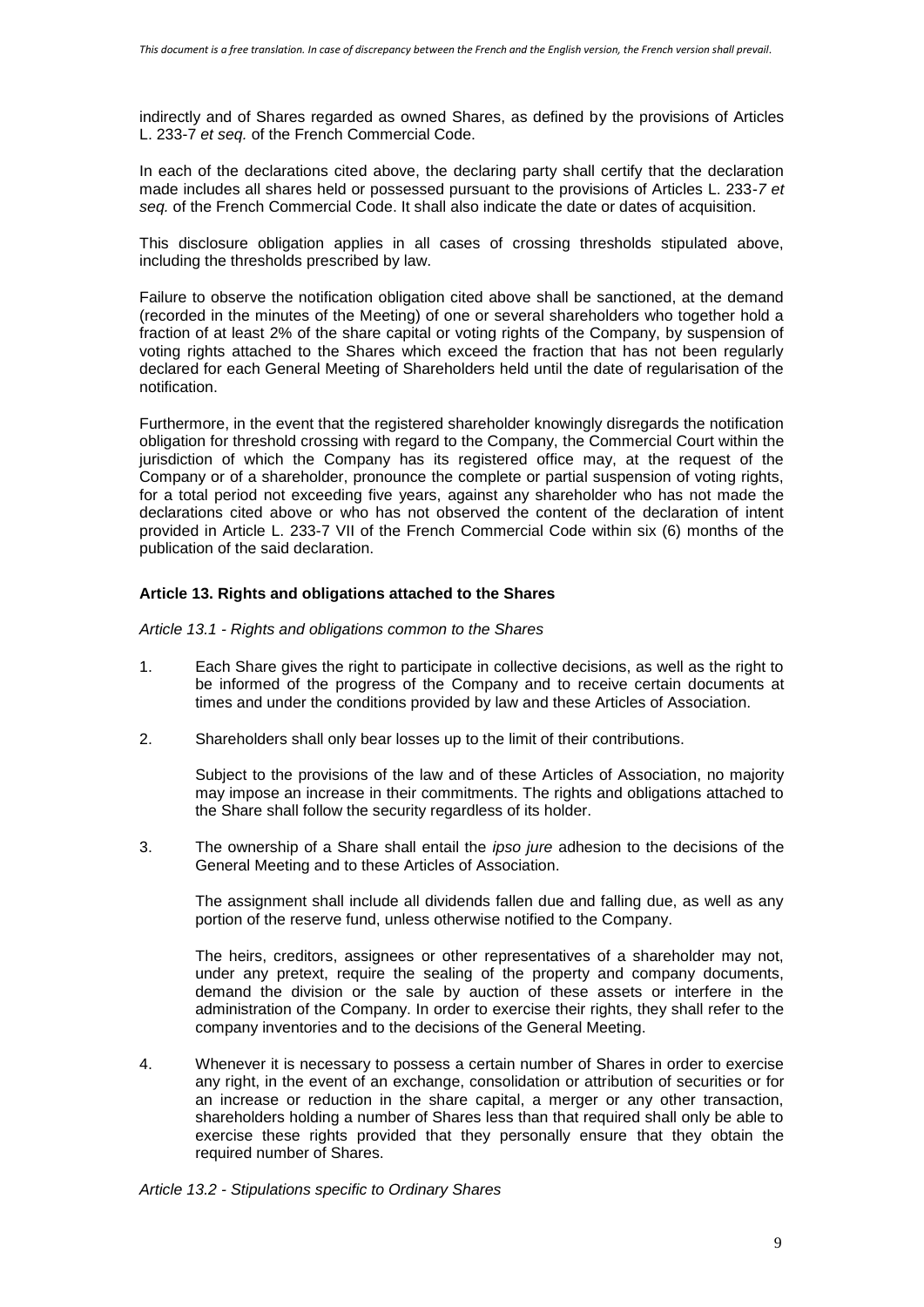indirectly and of Shares regarded as owned Shares, as defined by the provisions of Articles L. 233-7 *et seq.* of the French Commercial Code.

In each of the declarations cited above, the declaring party shall certify that the declaration made includes all shares held or possessed pursuant to the provisions of Articles L. 233-*7 et seq.* of the French Commercial Code. It shall also indicate the date or dates of acquisition.

This disclosure obligation applies in all cases of crossing thresholds stipulated above, including the thresholds prescribed by law.

Failure to observe the notification obligation cited above shall be sanctioned, at the demand (recorded in the minutes of the Meeting) of one or several shareholders who together hold a fraction of at least 2% of the share capital or voting rights of the Company, by suspension of voting rights attached to the Shares which exceed the fraction that has not been regularly declared for each General Meeting of Shareholders held until the date of regularisation of the notification.

Furthermore, in the event that the registered shareholder knowingly disregards the notification obligation for threshold crossing with regard to the Company, the Commercial Court within the jurisdiction of which the Company has its registered office may, at the request of the Company or of a shareholder, pronounce the complete or partial suspension of voting rights, for a total period not exceeding five years, against any shareholder who has not made the declarations cited above or who has not observed the content of the declaration of intent provided in Article L. 233-7 VII of the French Commercial Code within six (6) months of the publication of the said declaration.

### **Article 13. Rights and obligations attached to the Shares**

*Article 13.1 - Rights and obligations common to the Shares*

- 1. Each Share gives the right to participate in collective decisions, as well as the right to be informed of the progress of the Company and to receive certain documents at times and under the conditions provided by law and these Articles of Association.
- 2. Shareholders shall only bear losses up to the limit of their contributions.

Subject to the provisions of the law and of these Articles of Association, no majority may impose an increase in their commitments. The rights and obligations attached to the Share shall follow the security regardless of its holder.

3. The ownership of a Share shall entail the *ipso jure* adhesion to the decisions of the General Meeting and to these Articles of Association.

The assignment shall include all dividends fallen due and falling due, as well as any portion of the reserve fund, unless otherwise notified to the Company.

The heirs, creditors, assignees or other representatives of a shareholder may not, under any pretext, require the sealing of the property and company documents, demand the division or the sale by auction of these assets or interfere in the administration of the Company. In order to exercise their rights, they shall refer to the company inventories and to the decisions of the General Meeting.

4. Whenever it is necessary to possess a certain number of Shares in order to exercise any right, in the event of an exchange, consolidation or attribution of securities or for an increase or reduction in the share capital, a merger or any other transaction, shareholders holding a number of Shares less than that required shall only be able to exercise these rights provided that they personally ensure that they obtain the required number of Shares.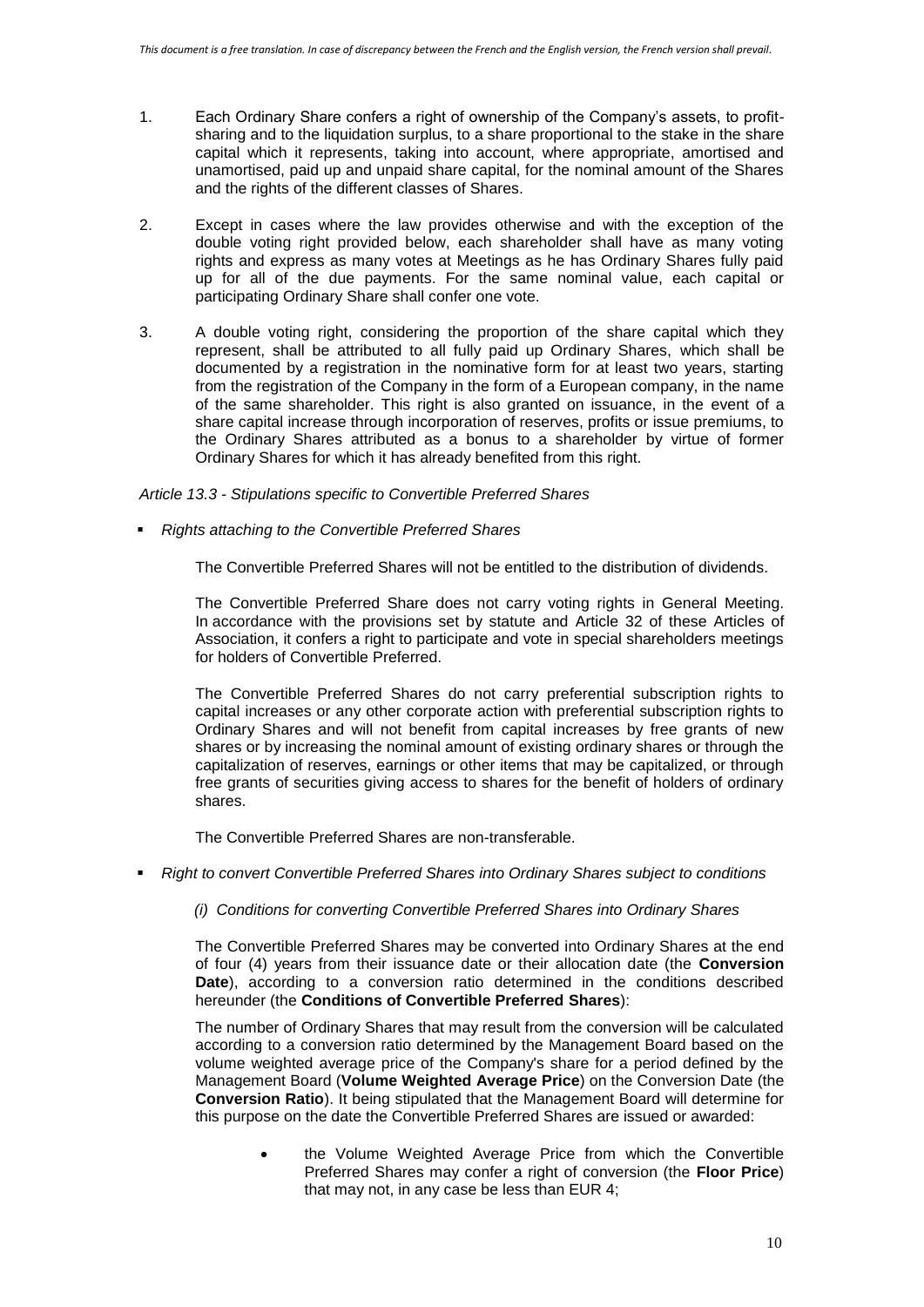- 1. Each Ordinary Share confers a right of ownership of the Company's assets, to profitsharing and to the liquidation surplus, to a share proportional to the stake in the share capital which it represents, taking into account, where appropriate, amortised and unamortised, paid up and unpaid share capital, for the nominal amount of the Shares and the rights of the different classes of Shares.
- 2. Except in cases where the law provides otherwise and with the exception of the double voting right provided below, each shareholder shall have as many voting rights and express as many votes at Meetings as he has Ordinary Shares fully paid up for all of the due payments. For the same nominal value, each capital or participating Ordinary Share shall confer one vote.
- 3. A double voting right, considering the proportion of the share capital which they represent, shall be attributed to all fully paid up Ordinary Shares, which shall be documented by a registration in the nominative form for at least two years, starting from the registration of the Company in the form of a European company, in the name of the same shareholder. This right is also granted on issuance, in the event of a share capital increase through incorporation of reserves, profits or issue premiums, to the Ordinary Shares attributed as a bonus to a shareholder by virtue of former Ordinary Shares for which it has already benefited from this right.

*Article 13.3 - Stipulations specific to Convertible Preferred Shares*

*Rights attaching to the Convertible Preferred Shares*

The Convertible Preferred Shares will not be entitled to the distribution of dividends.

The Convertible Preferred Share does not carry voting rights in General Meeting. In accordance with the provisions set by statute and Article 32 of these Articles of Association, it confers a right to participate and vote in special shareholders meetings for holders of Convertible Preferred.

The Convertible Preferred Shares do not carry preferential subscription rights to capital increases or any other corporate action with preferential subscription rights to Ordinary Shares and will not benefit from capital increases by free grants of new shares or by increasing the nominal amount of existing ordinary shares or through the capitalization of reserves, earnings or other items that may be capitalized, or through free grants of securities giving access to shares for the benefit of holders of ordinary shares.

The Convertible Preferred Shares are non-transferable.

*Right to convert Convertible Preferred Shares into Ordinary Shares subject to conditions*

*(i) Conditions for converting Convertible Preferred Shares into Ordinary Shares*

The Convertible Preferred Shares may be converted into Ordinary Shares at the end of four (4) years from their issuance date or their allocation date (the **Conversion Date**), according to a conversion ratio determined in the conditions described hereunder (the **Conditions of Convertible Preferred Shares**):

The number of Ordinary Shares that may result from the conversion will be calculated according to a conversion ratio determined by the Management Board based on the volume weighted average price of the Company's share for a period defined by the Management Board (**Volume Weighted Average Price**) on the Conversion Date (the **Conversion Ratio**). It being stipulated that the Management Board will determine for this purpose on the date the Convertible Preferred Shares are issued or awarded:

> the Volume Weighted Average Price from which the Convertible Preferred Shares may confer a right of conversion (the **Floor Price**) that may not, in any case be less than EUR 4;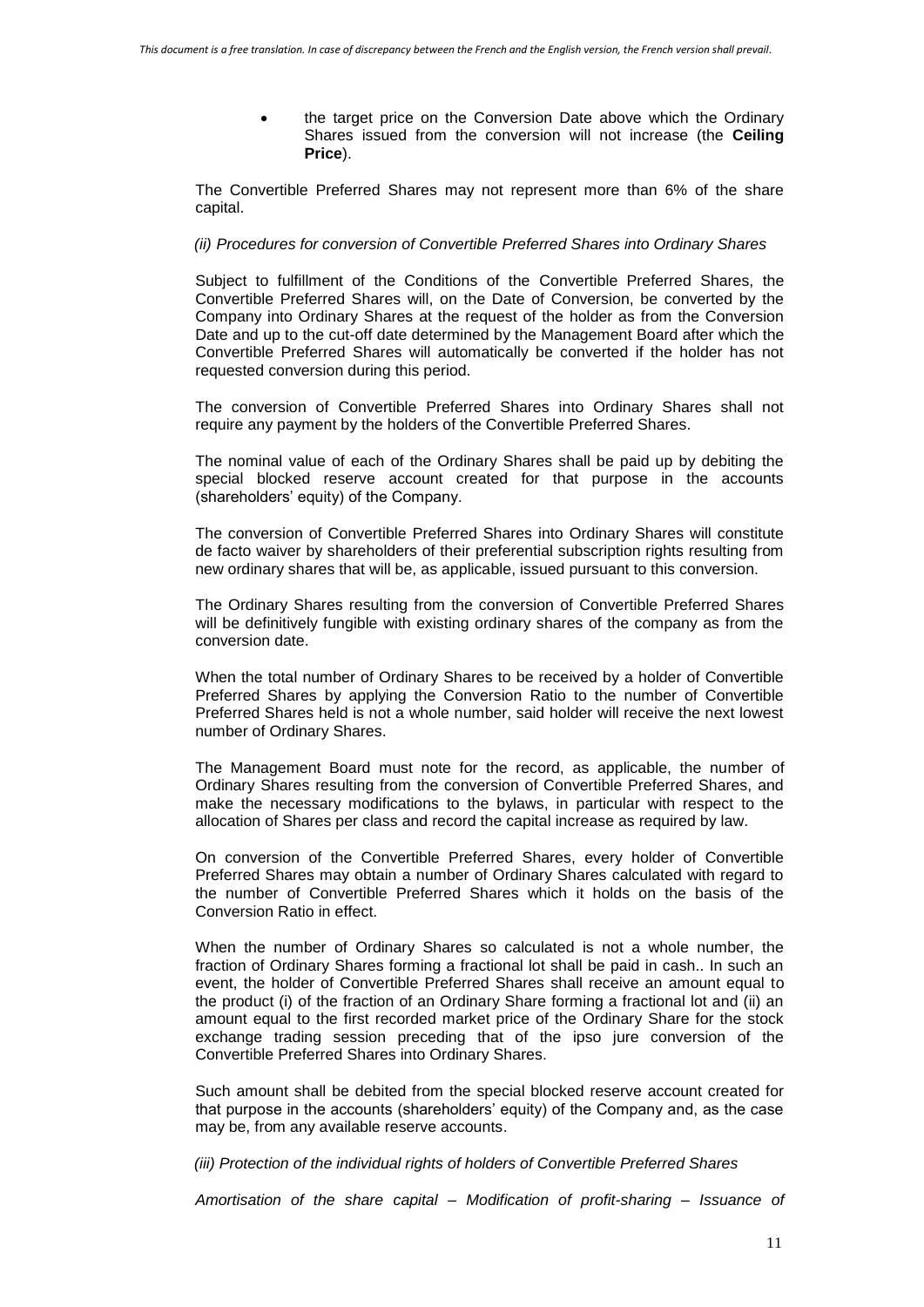the target price on the Conversion Date above which the Ordinary Shares issued from the conversion will not increase (the **Ceiling Price**).

The Convertible Preferred Shares may not represent more than 6% of the share capital.

#### *(ii) Procedures for conversion of Convertible Preferred Shares into Ordinary Shares*

Subject to fulfillment of the Conditions of the Convertible Preferred Shares, the Convertible Preferred Shares will, on the Date of Conversion, be converted by the Company into Ordinary Shares at the request of the holder as from the Conversion Date and up to the cut-off date determined by the Management Board after which the Convertible Preferred Shares will automatically be converted if the holder has not requested conversion during this period.

The conversion of Convertible Preferred Shares into Ordinary Shares shall not require any payment by the holders of the Convertible Preferred Shares.

The nominal value of each of the Ordinary Shares shall be paid up by debiting the special blocked reserve account created for that purpose in the accounts (shareholders' equity) of the Company.

The conversion of Convertible Preferred Shares into Ordinary Shares will constitute de facto waiver by shareholders of their preferential subscription rights resulting from new ordinary shares that will be, as applicable, issued pursuant to this conversion.

The Ordinary Shares resulting from the conversion of Convertible Preferred Shares will be definitively fungible with existing ordinary shares of the company as from the conversion date.

When the total number of Ordinary Shares to be received by a holder of Convertible Preferred Shares by applying the Conversion Ratio to the number of Convertible Preferred Shares held is not a whole number, said holder will receive the next lowest number of Ordinary Shares.

The Management Board must note for the record, as applicable, the number of Ordinary Shares resulting from the conversion of Convertible Preferred Shares, and make the necessary modifications to the bylaws, in particular with respect to the allocation of Shares per class and record the capital increase as required by law.

On conversion of the Convertible Preferred Shares, every holder of Convertible Preferred Shares may obtain a number of Ordinary Shares calculated with regard to the number of Convertible Preferred Shares which it holds on the basis of the Conversion Ratio in effect.

When the number of Ordinary Shares so calculated is not a whole number, the fraction of Ordinary Shares forming a fractional lot shall be paid in cash.. In such an event, the holder of Convertible Preferred Shares shall receive an amount equal to the product (i) of the fraction of an Ordinary Share forming a fractional lot and (ii) an amount equal to the first recorded market price of the Ordinary Share for the stock exchange trading session preceding that of the ipso jure conversion of the Convertible Preferred Shares into Ordinary Shares.

Such amount shall be debited from the special blocked reserve account created for that purpose in the accounts (shareholders' equity) of the Company and, as the case may be, from any available reserve accounts.

*(iii) Protection of the individual rights of holders of Convertible Preferred Shares*

*Amortisation of the share capital – Modification of profit-sharing – Issuance of*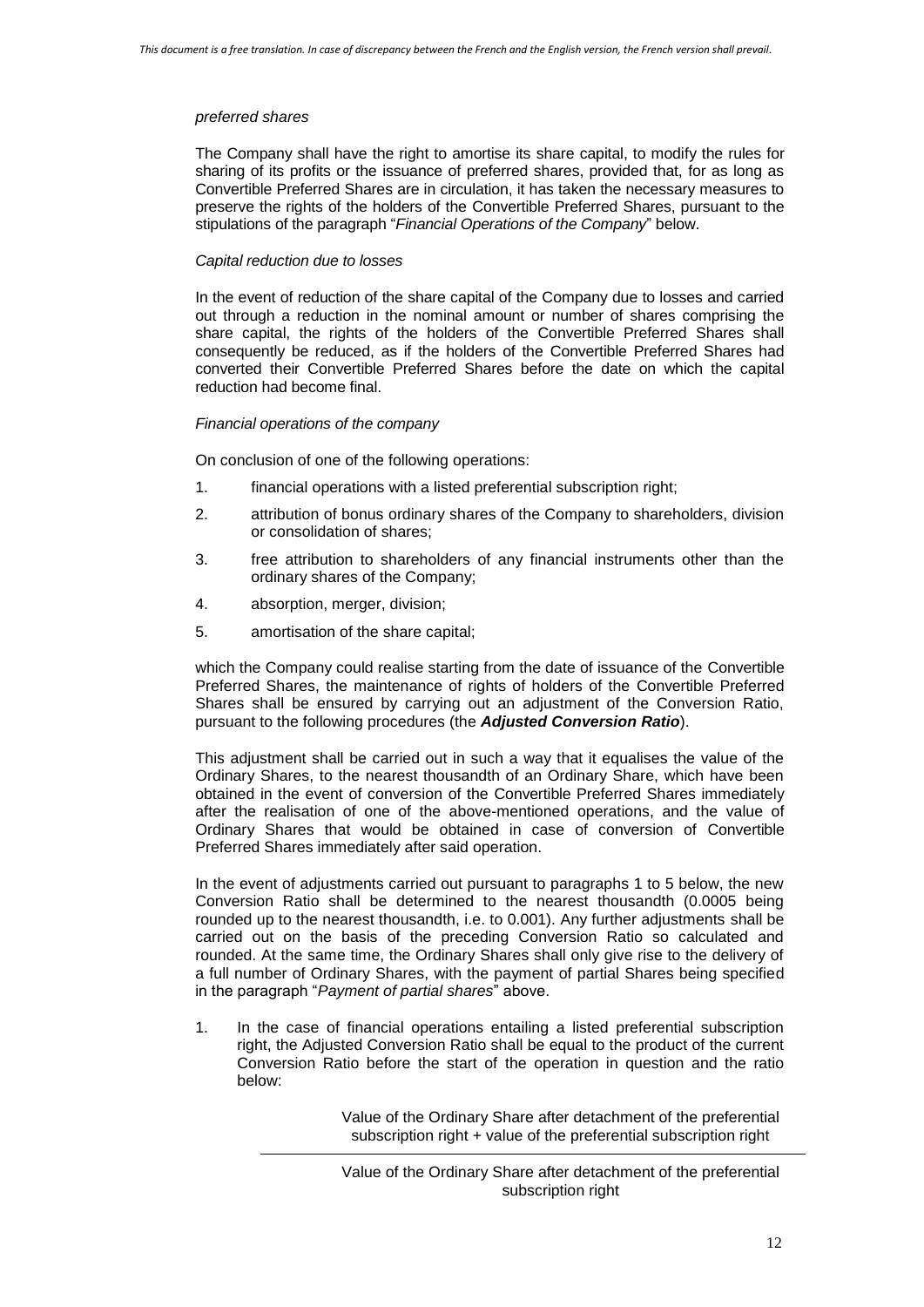#### *preferred shares*

The Company shall have the right to amortise its share capital, to modify the rules for sharing of its profits or the issuance of preferred shares, provided that, for as long as Convertible Preferred Shares are in circulation, it has taken the necessary measures to preserve the rights of the holders of the Convertible Preferred Shares, pursuant to the stipulations of the paragraph "*Financial Operations of the Company*" below.

### *Capital reduction due to losses*

In the event of reduction of the share capital of the Company due to losses and carried out through a reduction in the nominal amount or number of shares comprising the share capital, the rights of the holders of the Convertible Preferred Shares shall consequently be reduced, as if the holders of the Convertible Preferred Shares had converted their Convertible Preferred Shares before the date on which the capital reduction had become final.

#### *Financial operations of the company*

On conclusion of one of the following operations:

- 1. financial operations with a listed preferential subscription right;
- 2. attribution of bonus ordinary shares of the Company to shareholders, division or consolidation of shares;
- 3. free attribution to shareholders of any financial instruments other than the ordinary shares of the Company;
- 4. absorption, merger, division;
- 5. amortisation of the share capital;

which the Company could realise starting from the date of issuance of the Convertible Preferred Shares, the maintenance of rights of holders of the Convertible Preferred Shares shall be ensured by carrying out an adjustment of the Conversion Ratio, pursuant to the following procedures (the *Adjusted Conversion Ratio*).

This adjustment shall be carried out in such a way that it equalises the value of the Ordinary Shares, to the nearest thousandth of an Ordinary Share, which have been obtained in the event of conversion of the Convertible Preferred Shares immediately after the realisation of one of the above-mentioned operations, and the value of Ordinary Shares that would be obtained in case of conversion of Convertible Preferred Shares immediately after said operation.

In the event of adjustments carried out pursuant to paragraphs 1 to 5 below, the new Conversion Ratio shall be determined to the nearest thousandth (0.0005 being rounded up to the nearest thousandth, i.e. to 0.001). Any further adjustments shall be carried out on the basis of the preceding Conversion Ratio so calculated and rounded. At the same time, the Ordinary Shares shall only give rise to the delivery of a full number of Ordinary Shares, with the payment of partial Shares being specified in the paragraph "*Payment of partial shares*" above.

1. In the case of financial operations entailing a listed preferential subscription right, the Adjusted Conversion Ratio shall be equal to the product of the current Conversion Ratio before the start of the operation in question and the ratio below:

> Value of the Ordinary Share after detachment of the preferential subscription right + value of the preferential subscription right

Value of the Ordinary Share after detachment of the preferential subscription right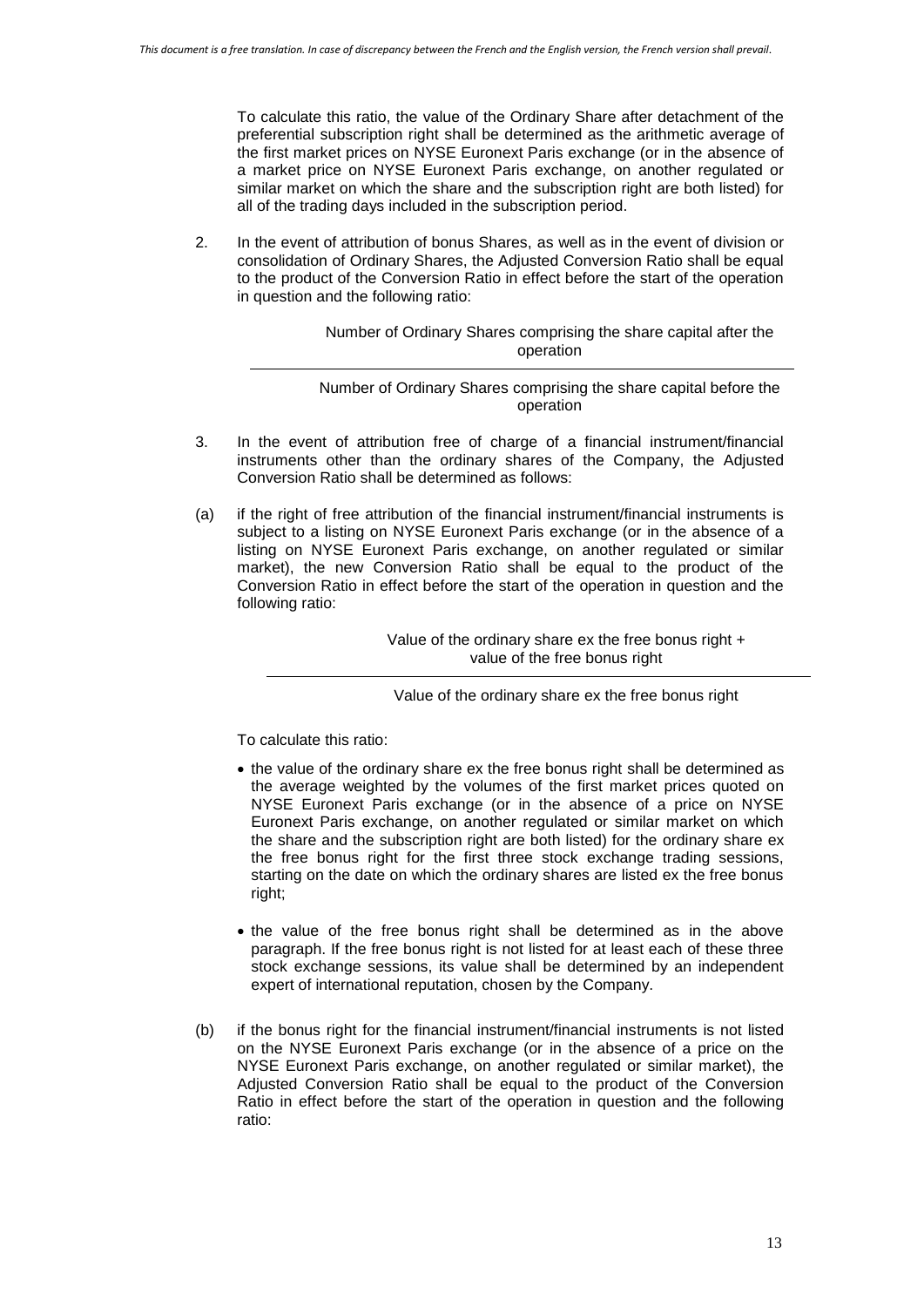To calculate this ratio, the value of the Ordinary Share after detachment of the preferential subscription right shall be determined as the arithmetic average of the first market prices on NYSE Euronext Paris exchange (or in the absence of a market price on NYSE Euronext Paris exchange, on another regulated or similar market on which the share and the subscription right are both listed) for all of the trading days included in the subscription period.

2. In the event of attribution of bonus Shares, as well as in the event of division or consolidation of Ordinary Shares, the Adjusted Conversion Ratio shall be equal to the product of the Conversion Ratio in effect before the start of the operation in question and the following ratio:

> Number of Ordinary Shares comprising the share capital after the operation

Number of Ordinary Shares comprising the share capital before the operation

- 3. In the event of attribution free of charge of a financial instrument/financial instruments other than the ordinary shares of the Company, the Adjusted Conversion Ratio shall be determined as follows:
- (a) if the right of free attribution of the financial instrument/financial instruments is subject to a listing on NYSE Euronext Paris exchange (or in the absence of a listing on NYSE Euronext Paris exchange, on another regulated or similar market), the new Conversion Ratio shall be equal to the product of the Conversion Ratio in effect before the start of the operation in question and the following ratio:

Value of the ordinary share ex the free bonus right + value of the free bonus right

Value of the ordinary share ex the free bonus right

To calculate this ratio:

- the value of the ordinary share ex the free bonus right shall be determined as the average weighted by the volumes of the first market prices quoted on NYSE Euronext Paris exchange (or in the absence of a price on NYSE Euronext Paris exchange, on another regulated or similar market on which the share and the subscription right are both listed) for the ordinary share ex the free bonus right for the first three stock exchange trading sessions, starting on the date on which the ordinary shares are listed ex the free bonus right;
- the value of the free bonus right shall be determined as in the above paragraph. If the free bonus right is not listed for at least each of these three stock exchange sessions, its value shall be determined by an independent expert of international reputation, chosen by the Company.
- (b) if the bonus right for the financial instrument/financial instruments is not listed on the NYSE Euronext Paris exchange (or in the absence of a price on the NYSE Euronext Paris exchange, on another regulated or similar market), the Adjusted Conversion Ratio shall be equal to the product of the Conversion Ratio in effect before the start of the operation in question and the following ratio: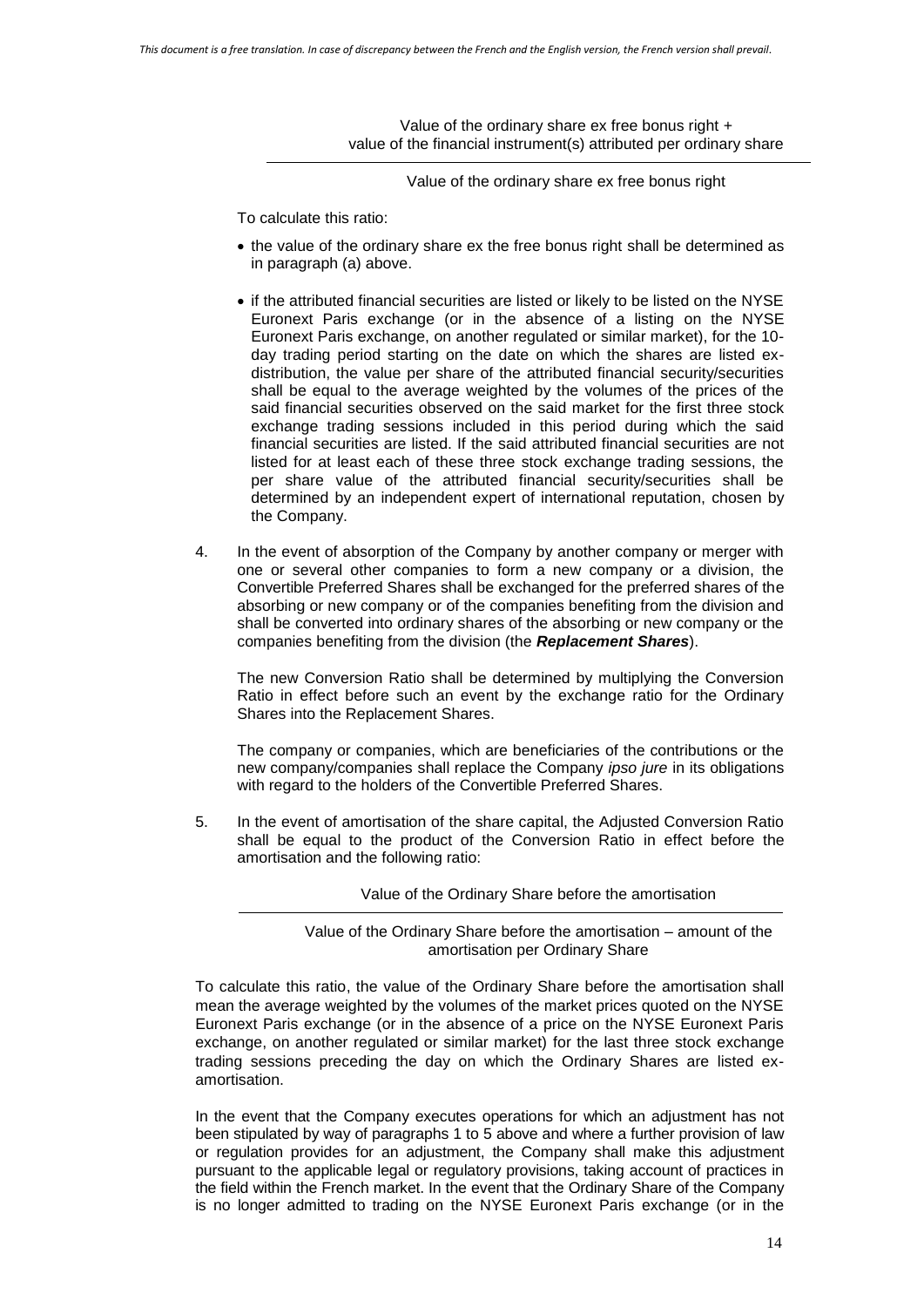Value of the ordinary share ex free bonus right + value of the financial instrument(s) attributed per ordinary share

Value of the ordinary share ex free bonus right

To calculate this ratio:

- the value of the ordinary share ex the free bonus right shall be determined as in paragraph (a) above.
- if the attributed financial securities are listed or likely to be listed on the NYSE Euronext Paris exchange (or in the absence of a listing on the NYSE Euronext Paris exchange, on another regulated or similar market), for the 10 day trading period starting on the date on which the shares are listed exdistribution, the value per share of the attributed financial security/securities shall be equal to the average weighted by the volumes of the prices of the said financial securities observed on the said market for the first three stock exchange trading sessions included in this period during which the said financial securities are listed. If the said attributed financial securities are not listed for at least each of these three stock exchange trading sessions, the per share value of the attributed financial security/securities shall be determined by an independent expert of international reputation, chosen by the Company.
- 4. In the event of absorption of the Company by another company or merger with one or several other companies to form a new company or a division, the Convertible Preferred Shares shall be exchanged for the preferred shares of the absorbing or new company or of the companies benefiting from the division and shall be converted into ordinary shares of the absorbing or new company or the companies benefiting from the division (the *Replacement Shares*).

The new Conversion Ratio shall be determined by multiplying the Conversion Ratio in effect before such an event by the exchange ratio for the Ordinary Shares into the Replacement Shares.

The company or companies, which are beneficiaries of the contributions or the new company/companies shall replace the Company *ipso jure* in its obligations with regard to the holders of the Convertible Preferred Shares.

5. In the event of amortisation of the share capital, the Adjusted Conversion Ratio shall be equal to the product of the Conversion Ratio in effect before the amortisation and the following ratio:

Value of the Ordinary Share before the amortisation

Value of the Ordinary Share before the amortisation – amount of the amortisation per Ordinary Share

To calculate this ratio, the value of the Ordinary Share before the amortisation shall mean the average weighted by the volumes of the market prices quoted on the NYSE Euronext Paris exchange (or in the absence of a price on the NYSE Euronext Paris exchange, on another regulated or similar market) for the last three stock exchange trading sessions preceding the day on which the Ordinary Shares are listed examortisation.

In the event that the Company executes operations for which an adjustment has not been stipulated by way of paragraphs 1 to 5 above and where a further provision of law or regulation provides for an adjustment, the Company shall make this adjustment pursuant to the applicable legal or regulatory provisions, taking account of practices in the field within the French market. In the event that the Ordinary Share of the Company is no longer admitted to trading on the NYSE Euronext Paris exchange (or in the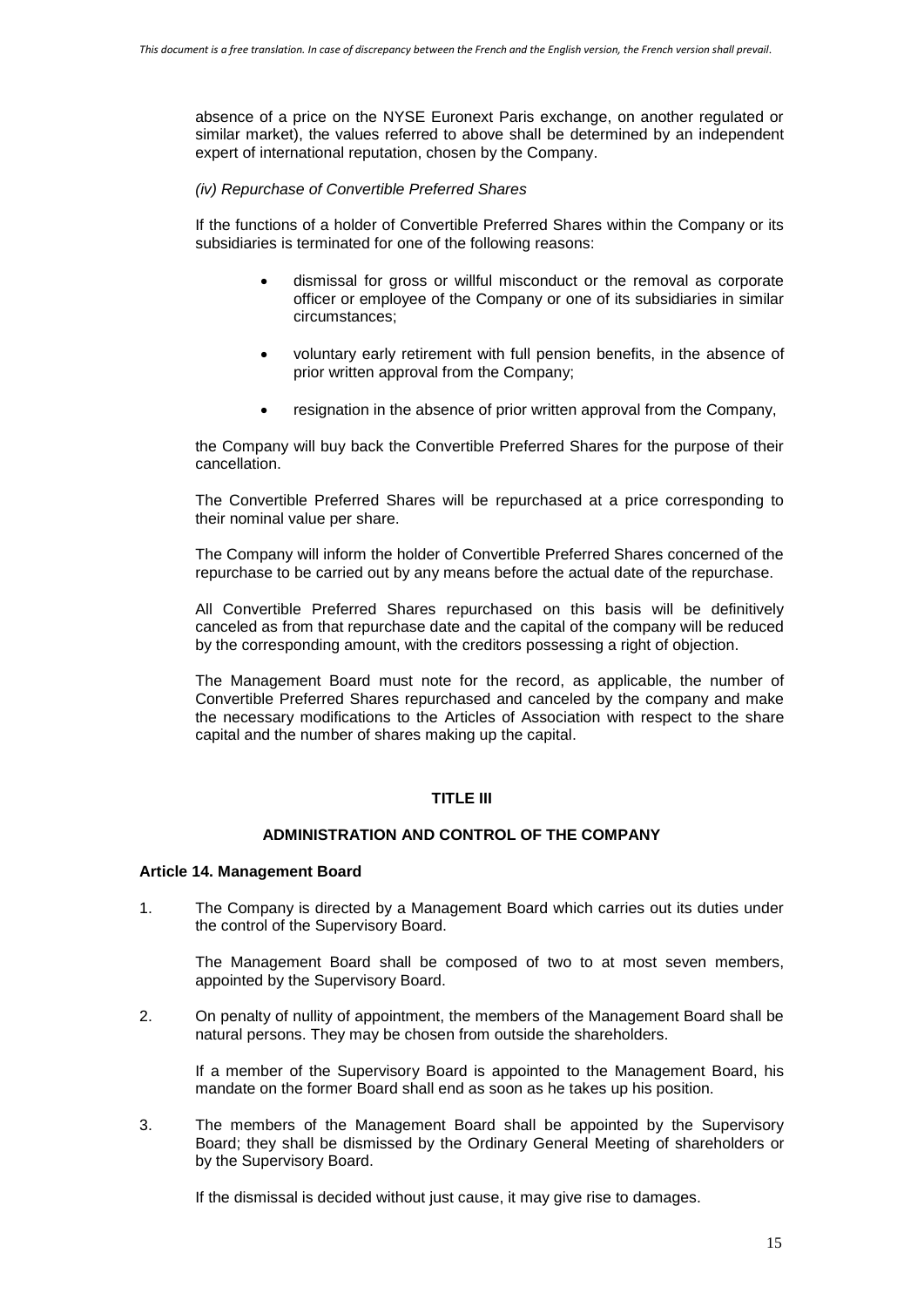absence of a price on the NYSE Euronext Paris exchange, on another regulated or similar market), the values referred to above shall be determined by an independent expert of international reputation, chosen by the Company.

#### *(iv) Repurchase of Convertible Preferred Shares*

If the functions of a holder of Convertible Preferred Shares within the Company or its subsidiaries is terminated for one of the following reasons:

- dismissal for gross or willful misconduct or the removal as corporate officer or employee of the Company or one of its subsidiaries in similar circumstances;
- voluntary early retirement with full pension benefits, in the absence of prior written approval from the Company;
- resignation in the absence of prior written approval from the Company,

the Company will buy back the Convertible Preferred Shares for the purpose of their cancellation.

The Convertible Preferred Shares will be repurchased at a price corresponding to their nominal value per share.

The Company will inform the holder of Convertible Preferred Shares concerned of the repurchase to be carried out by any means before the actual date of the repurchase.

All Convertible Preferred Shares repurchased on this basis will be definitively canceled as from that repurchase date and the capital of the company will be reduced by the corresponding amount, with the creditors possessing a right of objection.

The Management Board must note for the record, as applicable, the number of Convertible Preferred Shares repurchased and canceled by the company and make the necessary modifications to the Articles of Association with respect to the share capital and the number of shares making up the capital.

### **TITLE III**

# **ADMINISTRATION AND CONTROL OF THE COMPANY**

#### **Article 14. Management Board**

1. The Company is directed by a Management Board which carries out its duties under the control of the Supervisory Board.

The Management Board shall be composed of two to at most seven members, appointed by the Supervisory Board.

2. On penalty of nullity of appointment, the members of the Management Board shall be natural persons. They may be chosen from outside the shareholders.

If a member of the Supervisory Board is appointed to the Management Board, his mandate on the former Board shall end as soon as he takes up his position.

3. The members of the Management Board shall be appointed by the Supervisory Board; they shall be dismissed by the Ordinary General Meeting of shareholders or by the Supervisory Board.

If the dismissal is decided without just cause, it may give rise to damages.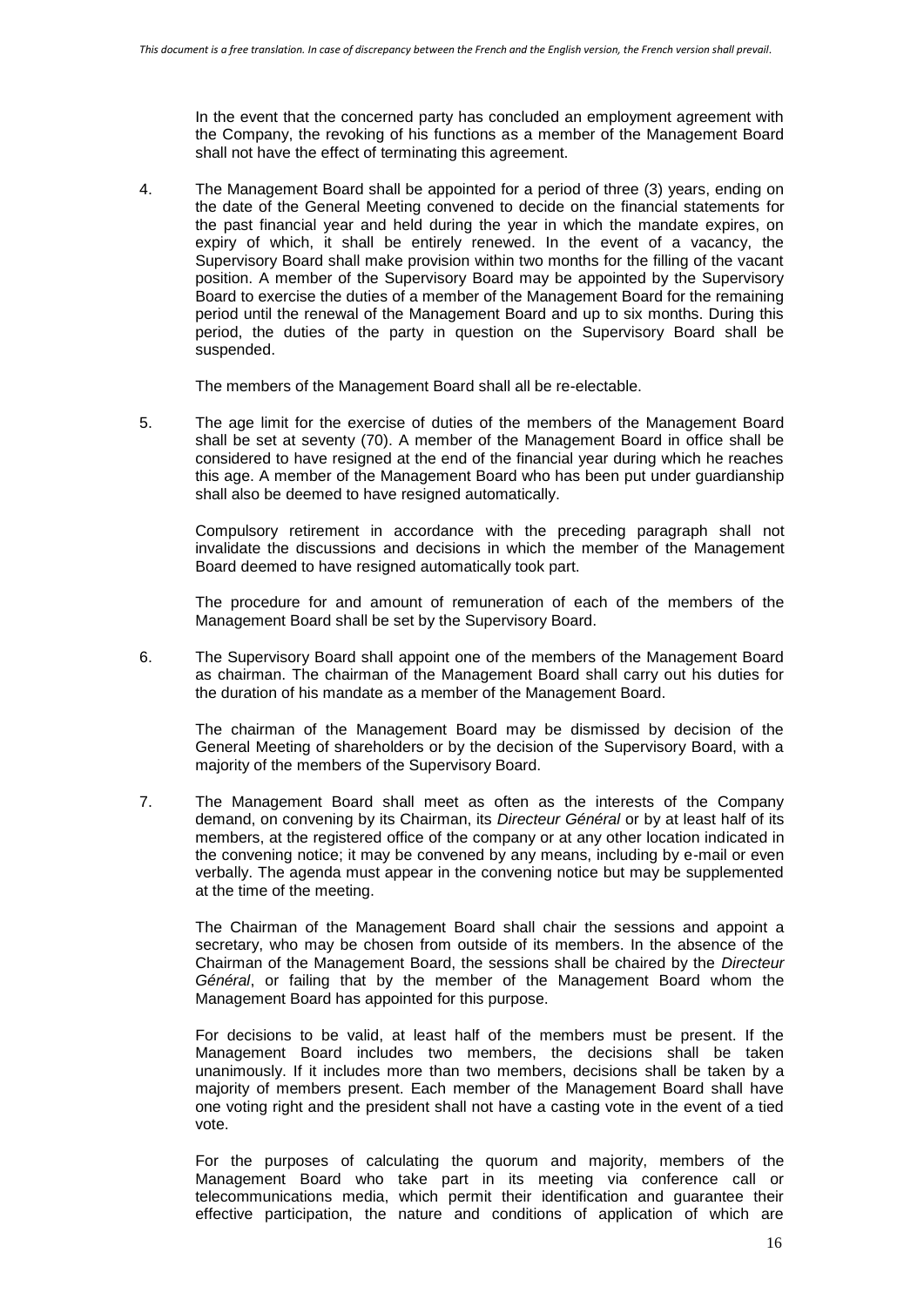In the event that the concerned party has concluded an employment agreement with the Company, the revoking of his functions as a member of the Management Board shall not have the effect of terminating this agreement.

4. The Management Board shall be appointed for a period of three (3) years, ending on the date of the General Meeting convened to decide on the financial statements for the past financial year and held during the year in which the mandate expires, on expiry of which, it shall be entirely renewed. In the event of a vacancy, the Supervisory Board shall make provision within two months for the filling of the vacant position. A member of the Supervisory Board may be appointed by the Supervisory Board to exercise the duties of a member of the Management Board for the remaining period until the renewal of the Management Board and up to six months. During this period, the duties of the party in question on the Supervisory Board shall be suspended.

The members of the Management Board shall all be re-electable.

5. The age limit for the exercise of duties of the members of the Management Board shall be set at seventy (70). A member of the Management Board in office shall be considered to have resigned at the end of the financial year during which he reaches this age. A member of the Management Board who has been put under guardianship shall also be deemed to have resigned automatically.

Compulsory retirement in accordance with the preceding paragraph shall not invalidate the discussions and decisions in which the member of the Management Board deemed to have resigned automatically took part.

The procedure for and amount of remuneration of each of the members of the Management Board shall be set by the Supervisory Board.

6. The Supervisory Board shall appoint one of the members of the Management Board as chairman. The chairman of the Management Board shall carry out his duties for the duration of his mandate as a member of the Management Board.

The chairman of the Management Board may be dismissed by decision of the General Meeting of shareholders or by the decision of the Supervisory Board, with a majority of the members of the Supervisory Board.

7. The Management Board shall meet as often as the interests of the Company demand, on convening by its Chairman, its *Directeur Général* or by at least half of its members, at the registered office of the company or at any other location indicated in the convening notice; it may be convened by any means, including by e-mail or even verbally. The agenda must appear in the convening notice but may be supplemented at the time of the meeting.

The Chairman of the Management Board shall chair the sessions and appoint a secretary, who may be chosen from outside of its members. In the absence of the Chairman of the Management Board, the sessions shall be chaired by the *Directeur Général*, or failing that by the member of the Management Board whom the Management Board has appointed for this purpose.

For decisions to be valid, at least half of the members must be present. If the Management Board includes two members, the decisions shall be taken unanimously. If it includes more than two members, decisions shall be taken by a majority of members present. Each member of the Management Board shall have one voting right and the president shall not have a casting vote in the event of a tied vote.

For the purposes of calculating the quorum and majority, members of the Management Board who take part in its meeting via conference call or telecommunications media, which permit their identification and guarantee their effective participation, the nature and conditions of application of which are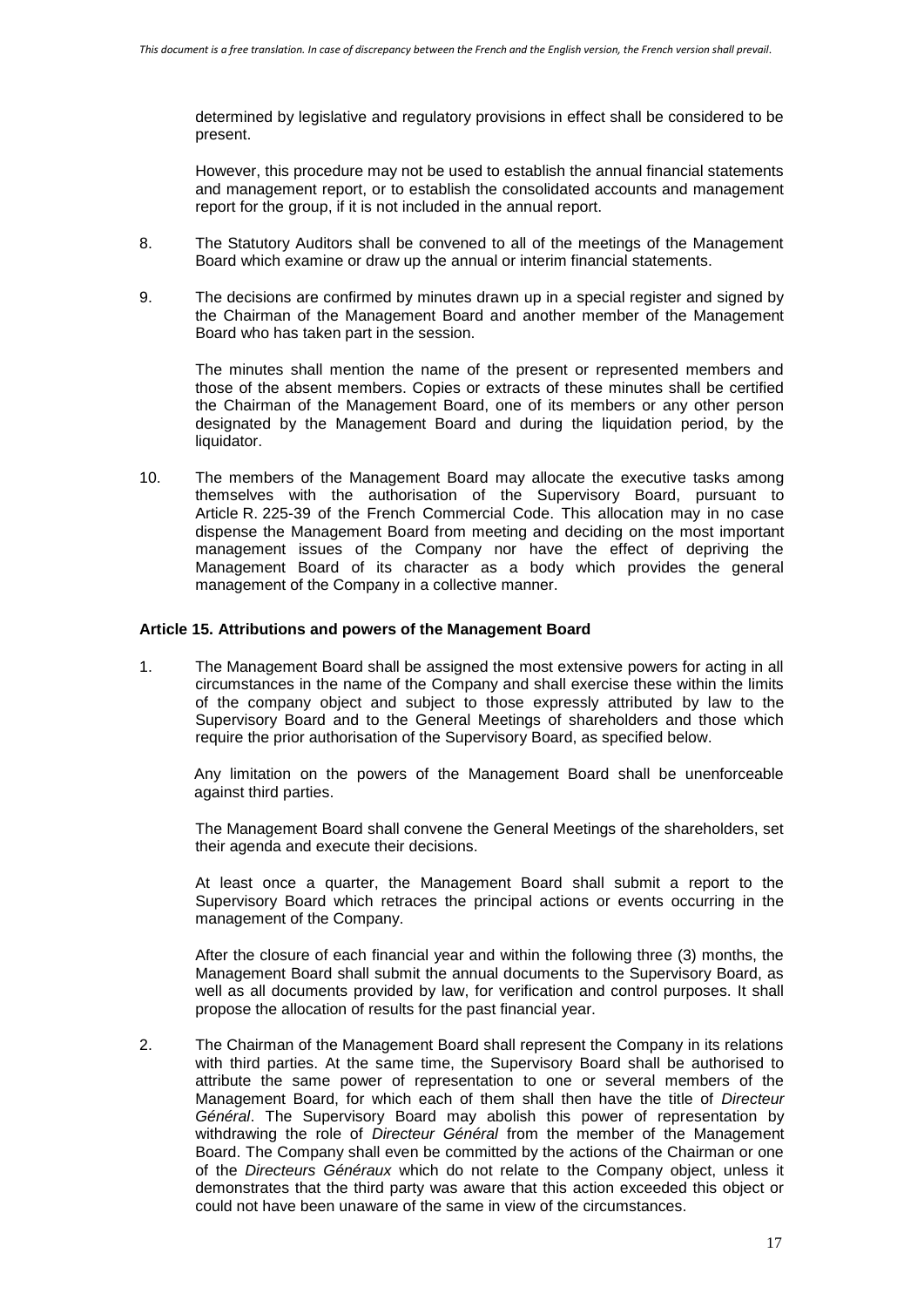determined by legislative and regulatory provisions in effect shall be considered to be present.

However, this procedure may not be used to establish the annual financial statements and management report, or to establish the consolidated accounts and management report for the group, if it is not included in the annual report.

- 8. The Statutory Auditors shall be convened to all of the meetings of the Management Board which examine or draw up the annual or interim financial statements.
- 9. The decisions are confirmed by minutes drawn up in a special register and signed by the Chairman of the Management Board and another member of the Management Board who has taken part in the session.

The minutes shall mention the name of the present or represented members and those of the absent members. Copies or extracts of these minutes shall be certified the Chairman of the Management Board, one of its members or any other person designated by the Management Board and during the liquidation period, by the liquidator.

10. The members of the Management Board may allocate the executive tasks among themselves with the authorisation of the Supervisory Board, pursuant to Article R. 225-39 of the French Commercial Code. This allocation may in no case dispense the Management Board from meeting and deciding on the most important management issues of the Company nor have the effect of depriving the Management Board of its character as a body which provides the general management of the Company in a collective manner.

#### **Article 15. Attributions and powers of the Management Board**

1. The Management Board shall be assigned the most extensive powers for acting in all circumstances in the name of the Company and shall exercise these within the limits of the company object and subject to those expressly attributed by law to the Supervisory Board and to the General Meetings of shareholders and those which require the prior authorisation of the Supervisory Board, as specified below.

Any limitation on the powers of the Management Board shall be unenforceable against third parties.

The Management Board shall convene the General Meetings of the shareholders, set their agenda and execute their decisions.

At least once a quarter, the Management Board shall submit a report to the Supervisory Board which retraces the principal actions or events occurring in the management of the Company.

After the closure of each financial year and within the following three (3) months, the Management Board shall submit the annual documents to the Supervisory Board, as well as all documents provided by law, for verification and control purposes. It shall propose the allocation of results for the past financial year.

2. The Chairman of the Management Board shall represent the Company in its relations with third parties. At the same time, the Supervisory Board shall be authorised to attribute the same power of representation to one or several members of the Management Board, for which each of them shall then have the title of *Directeur Général*. The Supervisory Board may abolish this power of representation by withdrawing the role of *Directeur Général* from the member of the Management Board. The Company shall even be committed by the actions of the Chairman or one of the *Directeurs Généraux* which do not relate to the Company object, unless it demonstrates that the third party was aware that this action exceeded this object or could not have been unaware of the same in view of the circumstances.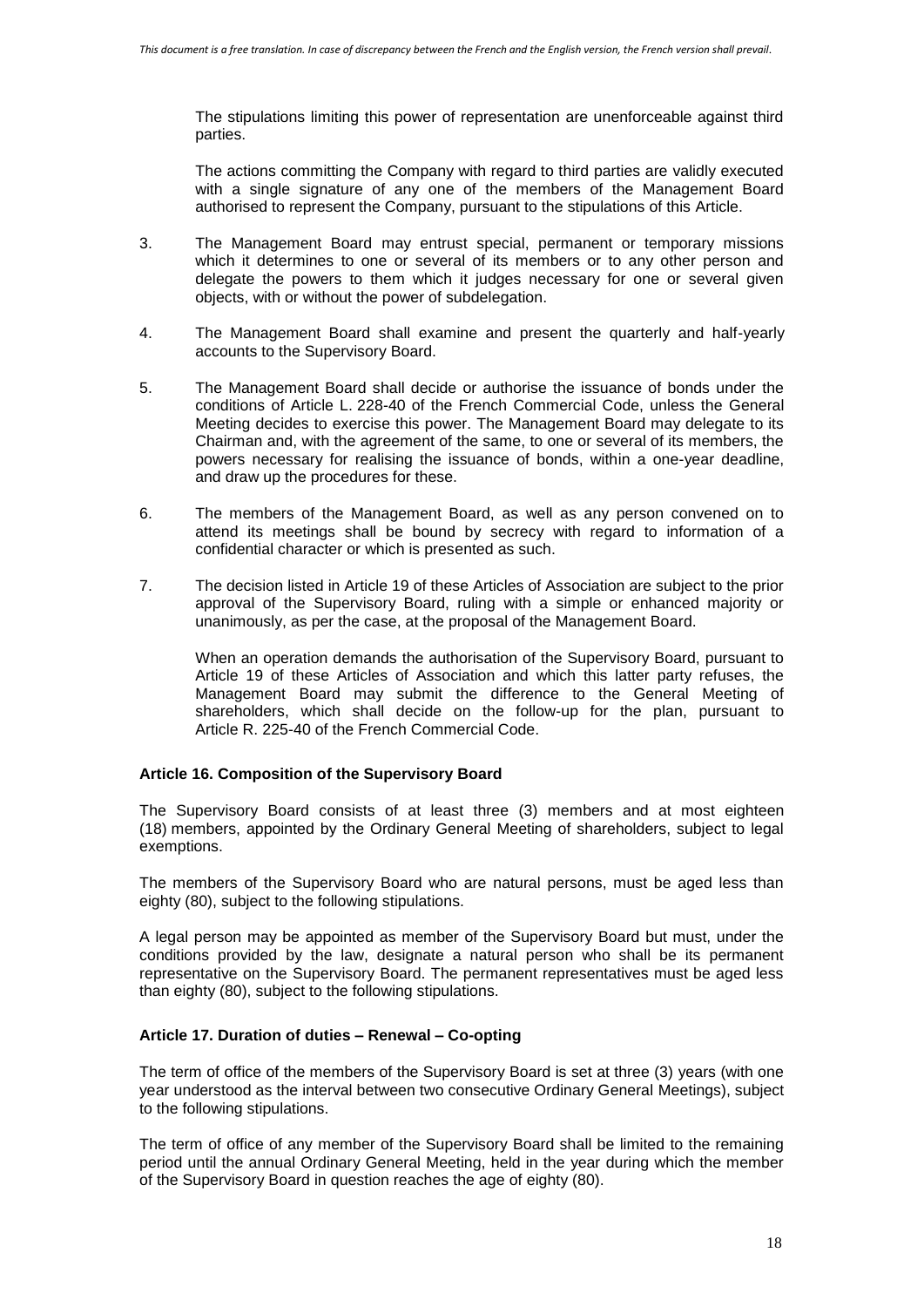The stipulations limiting this power of representation are unenforceable against third parties.

The actions committing the Company with regard to third parties are validly executed with a single signature of any one of the members of the Management Board authorised to represent the Company, pursuant to the stipulations of this Article.

- 3. The Management Board may entrust special, permanent or temporary missions which it determines to one or several of its members or to any other person and delegate the powers to them which it judges necessary for one or several given objects, with or without the power of subdelegation.
- 4. The Management Board shall examine and present the quarterly and half-yearly accounts to the Supervisory Board.
- 5. The Management Board shall decide or authorise the issuance of bonds under the conditions of Article L. 228-40 of the French Commercial Code, unless the General Meeting decides to exercise this power. The Management Board may delegate to its Chairman and, with the agreement of the same, to one or several of its members, the powers necessary for realising the issuance of bonds, within a one-year deadline, and draw up the procedures for these.
- 6. The members of the Management Board, as well as any person convened on to attend its meetings shall be bound by secrecy with regard to information of a confidential character or which is presented as such.
- 7. The decision listed in Article 19 of these Articles of Association are subject to the prior approval of the Supervisory Board, ruling with a simple or enhanced majority or unanimously, as per the case, at the proposal of the Management Board.

When an operation demands the authorisation of the Supervisory Board, pursuant to Article 19 of these Articles of Association and which this latter party refuses, the Management Board may submit the difference to the General Meeting of shareholders, which shall decide on the follow-up for the plan, pursuant to Article R. 225-40 of the French Commercial Code.

### **Article 16. Composition of the Supervisory Board**

The Supervisory Board consists of at least three (3) members and at most eighteen (18) members, appointed by the Ordinary General Meeting of shareholders, subject to legal exemptions.

The members of the Supervisory Board who are natural persons, must be aged less than eighty (80), subject to the following stipulations.

A legal person may be appointed as member of the Supervisory Board but must, under the conditions provided by the law, designate a natural person who shall be its permanent representative on the Supervisory Board. The permanent representatives must be aged less than eighty (80), subject to the following stipulations.

### **Article 17. Duration of duties – Renewal – Co-opting**

The term of office of the members of the Supervisory Board is set at three (3) years (with one year understood as the interval between two consecutive Ordinary General Meetings), subject to the following stipulations.

The term of office of any member of the Supervisory Board shall be limited to the remaining period until the annual Ordinary General Meeting, held in the year during which the member of the Supervisory Board in question reaches the age of eighty (80).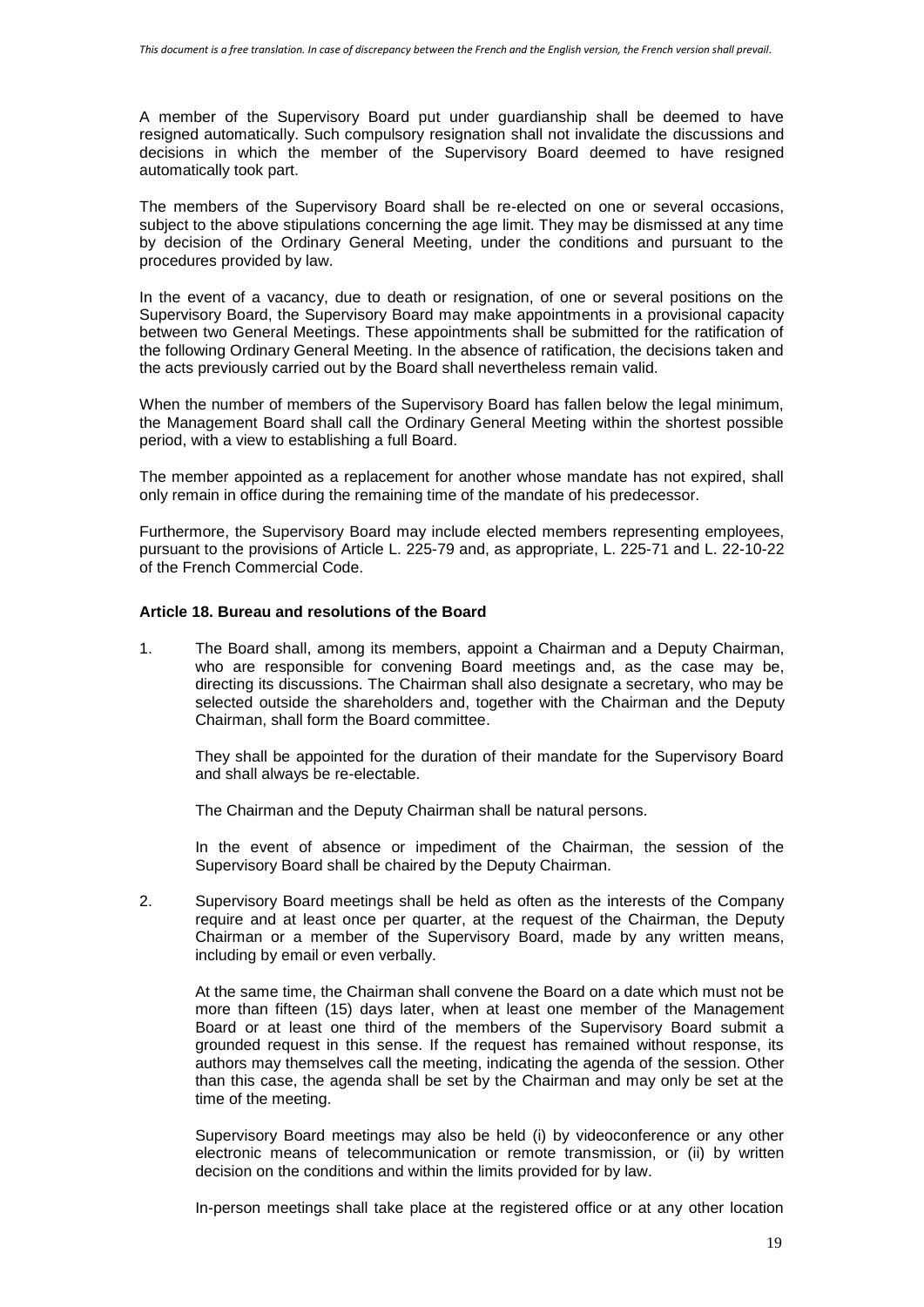A member of the Supervisory Board put under guardianship shall be deemed to have resigned automatically. Such compulsory resignation shall not invalidate the discussions and decisions in which the member of the Supervisory Board deemed to have resigned automatically took part.

The members of the Supervisory Board shall be re-elected on one or several occasions, subject to the above stipulations concerning the age limit. They may be dismissed at any time by decision of the Ordinary General Meeting, under the conditions and pursuant to the procedures provided by law.

In the event of a vacancy, due to death or resignation, of one or several positions on the Supervisory Board, the Supervisory Board may make appointments in a provisional capacity between two General Meetings. These appointments shall be submitted for the ratification of the following Ordinary General Meeting. In the absence of ratification, the decisions taken and the acts previously carried out by the Board shall nevertheless remain valid.

When the number of members of the Supervisory Board has fallen below the legal minimum, the Management Board shall call the Ordinary General Meeting within the shortest possible period, with a view to establishing a full Board.

The member appointed as a replacement for another whose mandate has not expired, shall only remain in office during the remaining time of the mandate of his predecessor.

Furthermore, the Supervisory Board may include elected members representing employees, pursuant to the provisions of Article L. 225-79 and, as appropriate, L. 225-71 and L. 22-10-22 of the French Commercial Code.

# **Article 18. Bureau and resolutions of the Board**

1. The Board shall, among its members, appoint a Chairman and a Deputy Chairman, who are responsible for convening Board meetings and, as the case may be, directing its discussions. The Chairman shall also designate a secretary, who may be selected outside the shareholders and, together with the Chairman and the Deputy Chairman, shall form the Board committee.

They shall be appointed for the duration of their mandate for the Supervisory Board and shall always be re-electable.

The Chairman and the Deputy Chairman shall be natural persons.

In the event of absence or impediment of the Chairman, the session of the Supervisory Board shall be chaired by the Deputy Chairman.

2. Supervisory Board meetings shall be held as often as the interests of the Company require and at least once per quarter, at the request of the Chairman, the Deputy Chairman or a member of the Supervisory Board, made by any written means, including by email or even verbally.

At the same time, the Chairman shall convene the Board on a date which must not be more than fifteen (15) days later, when at least one member of the Management Board or at least one third of the members of the Supervisory Board submit a grounded request in this sense. If the request has remained without response, its authors may themselves call the meeting, indicating the agenda of the session. Other than this case, the agenda shall be set by the Chairman and may only be set at the time of the meeting.

Supervisory Board meetings may also be held (i) by videoconference or any other electronic means of telecommunication or remote transmission, or (ii) by written decision on the conditions and within the limits provided for by law.

In-person meetings shall take place at the registered office or at any other location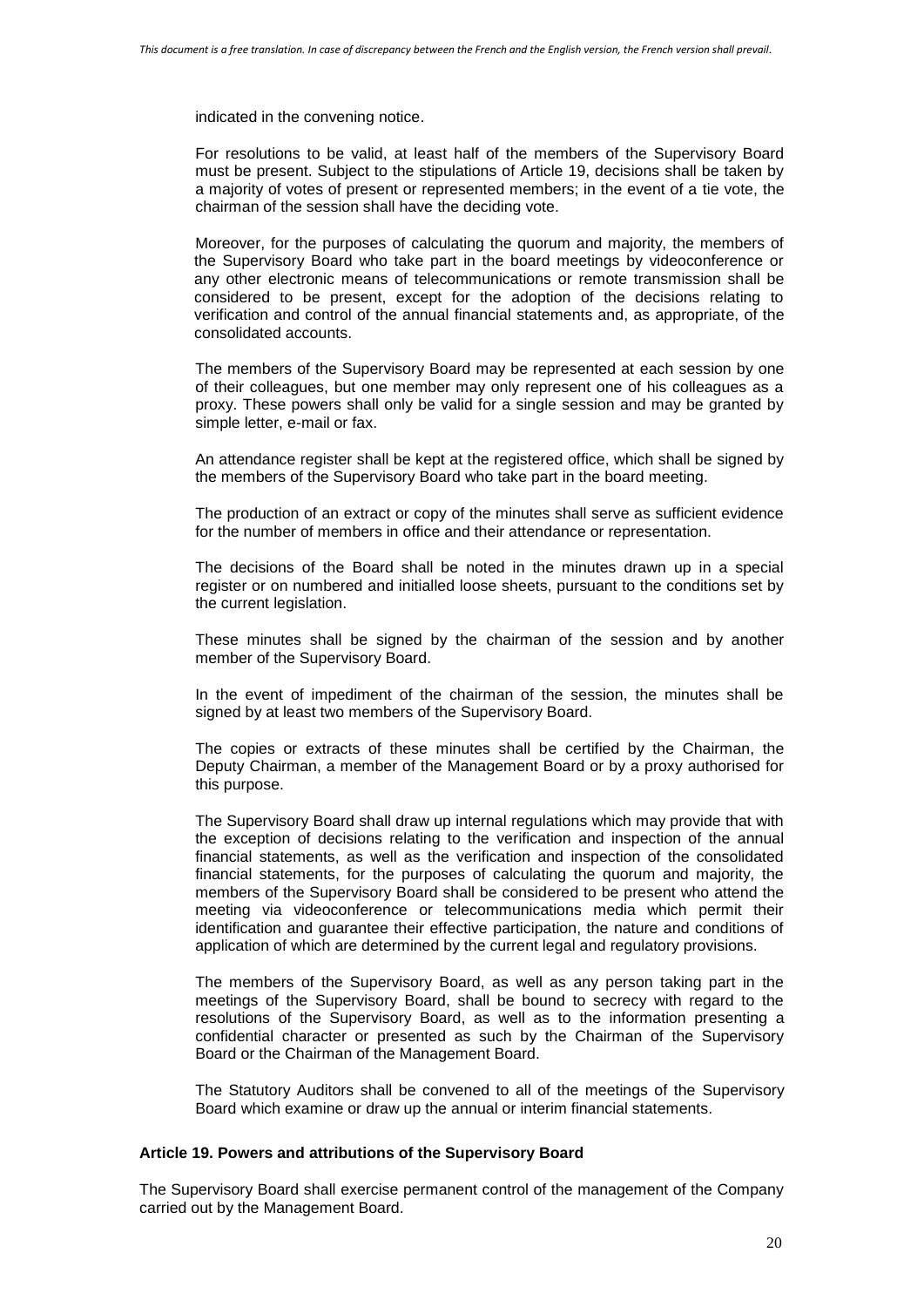indicated in the convening notice.

For resolutions to be valid, at least half of the members of the Supervisory Board must be present. Subject to the stipulations of Article 19, decisions shall be taken by a majority of votes of present or represented members; in the event of a tie vote, the chairman of the session shall have the deciding vote.

Moreover, for the purposes of calculating the quorum and majority, the members of the Supervisory Board who take part in the board meetings by videoconference or any other electronic means of telecommunications or remote transmission shall be considered to be present, except for the adoption of the decisions relating to verification and control of the annual financial statements and, as appropriate, of the consolidated accounts.

The members of the Supervisory Board may be represented at each session by one of their colleagues, but one member may only represent one of his colleagues as a proxy. These powers shall only be valid for a single session and may be granted by simple letter, e-mail or fax.

An attendance register shall be kept at the registered office, which shall be signed by the members of the Supervisory Board who take part in the board meeting.

The production of an extract or copy of the minutes shall serve as sufficient evidence for the number of members in office and their attendance or representation.

The decisions of the Board shall be noted in the minutes drawn up in a special register or on numbered and initialled loose sheets, pursuant to the conditions set by the current legislation.

These minutes shall be signed by the chairman of the session and by another member of the Supervisory Board.

In the event of impediment of the chairman of the session, the minutes shall be signed by at least two members of the Supervisory Board.

The copies or extracts of these minutes shall be certified by the Chairman, the Deputy Chairman, a member of the Management Board or by a proxy authorised for this purpose.

The Supervisory Board shall draw up internal regulations which may provide that with the exception of decisions relating to the verification and inspection of the annual financial statements, as well as the verification and inspection of the consolidated financial statements, for the purposes of calculating the quorum and majority, the members of the Supervisory Board shall be considered to be present who attend the meeting via videoconference or telecommunications media which permit their identification and guarantee their effective participation, the nature and conditions of application of which are determined by the current legal and regulatory provisions.

The members of the Supervisory Board, as well as any person taking part in the meetings of the Supervisory Board, shall be bound to secrecy with regard to the resolutions of the Supervisory Board, as well as to the information presenting a confidential character or presented as such by the Chairman of the Supervisory Board or the Chairman of the Management Board.

The Statutory Auditors shall be convened to all of the meetings of the Supervisory Board which examine or draw up the annual or interim financial statements.

### **Article 19. Powers and attributions of the Supervisory Board**

The Supervisory Board shall exercise permanent control of the management of the Company carried out by the Management Board.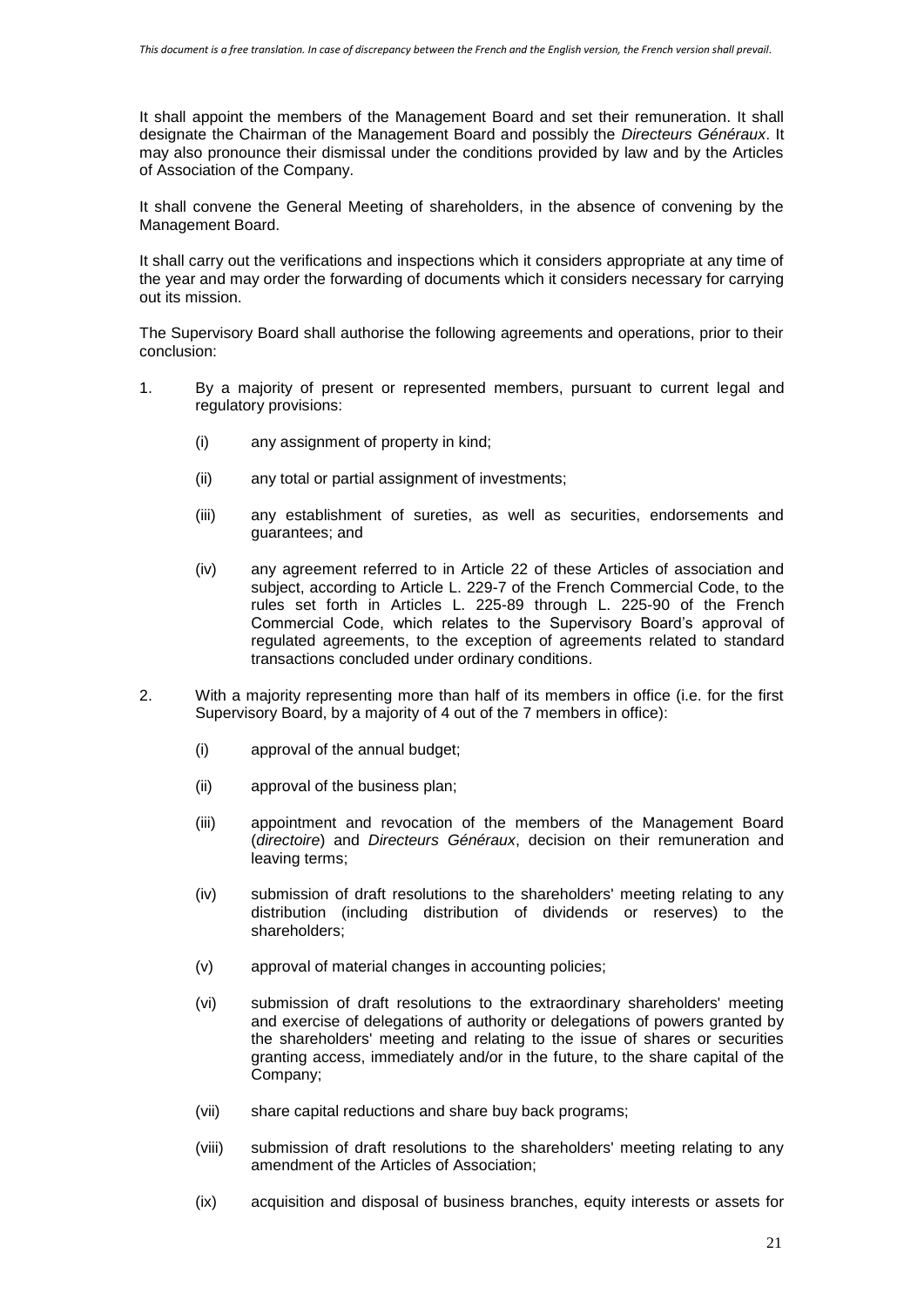It shall appoint the members of the Management Board and set their remuneration. It shall designate the Chairman of the Management Board and possibly the *Directeurs Généraux*. It may also pronounce their dismissal under the conditions provided by law and by the Articles of Association of the Company.

It shall convene the General Meeting of shareholders, in the absence of convening by the Management Board.

It shall carry out the verifications and inspections which it considers appropriate at any time of the year and may order the forwarding of documents which it considers necessary for carrying out its mission.

The Supervisory Board shall authorise the following agreements and operations, prior to their conclusion:

- 1. By a majority of present or represented members, pursuant to current legal and regulatory provisions:
	- (i) any assignment of property in kind;
	- (ii) any total or partial assignment of investments;
	- (iii) any establishment of sureties, as well as securities, endorsements and guarantees; and
	- (iv) any agreement referred to in Article 22 of these Articles of association and subject, according to Article L. 229-7 of the French Commercial Code, to the rules set forth in Articles L. 225-89 through L. 225-90 of the French Commercial Code, which relates to the Supervisory Board's approval of regulated agreements, to the exception of agreements related to standard transactions concluded under ordinary conditions.
- 2. With a majority representing more than half of its members in office (i.e. for the first Supervisory Board, by a majority of 4 out of the 7 members in office):
	- (i) approval of the annual budget;
	- (ii) approval of the business plan;
	- (iii) appointment and revocation of the members of the Management Board (*directoire*) and *Directeurs Généraux*, decision on their remuneration and leaving terms;
	- (iv) submission of draft resolutions to the shareholders' meeting relating to any distribution (including distribution of dividends or reserves) to the shareholders;
	- (v) approval of material changes in accounting policies;
	- (vi) submission of draft resolutions to the extraordinary shareholders' meeting and exercise of delegations of authority or delegations of powers granted by the shareholders' meeting and relating to the issue of shares or securities granting access, immediately and/or in the future, to the share capital of the Company;
	- (vii) share capital reductions and share buy back programs;
	- (viii) submission of draft resolutions to the shareholders' meeting relating to any amendment of the Articles of Association;
	- (ix) acquisition and disposal of business branches, equity interests or assets for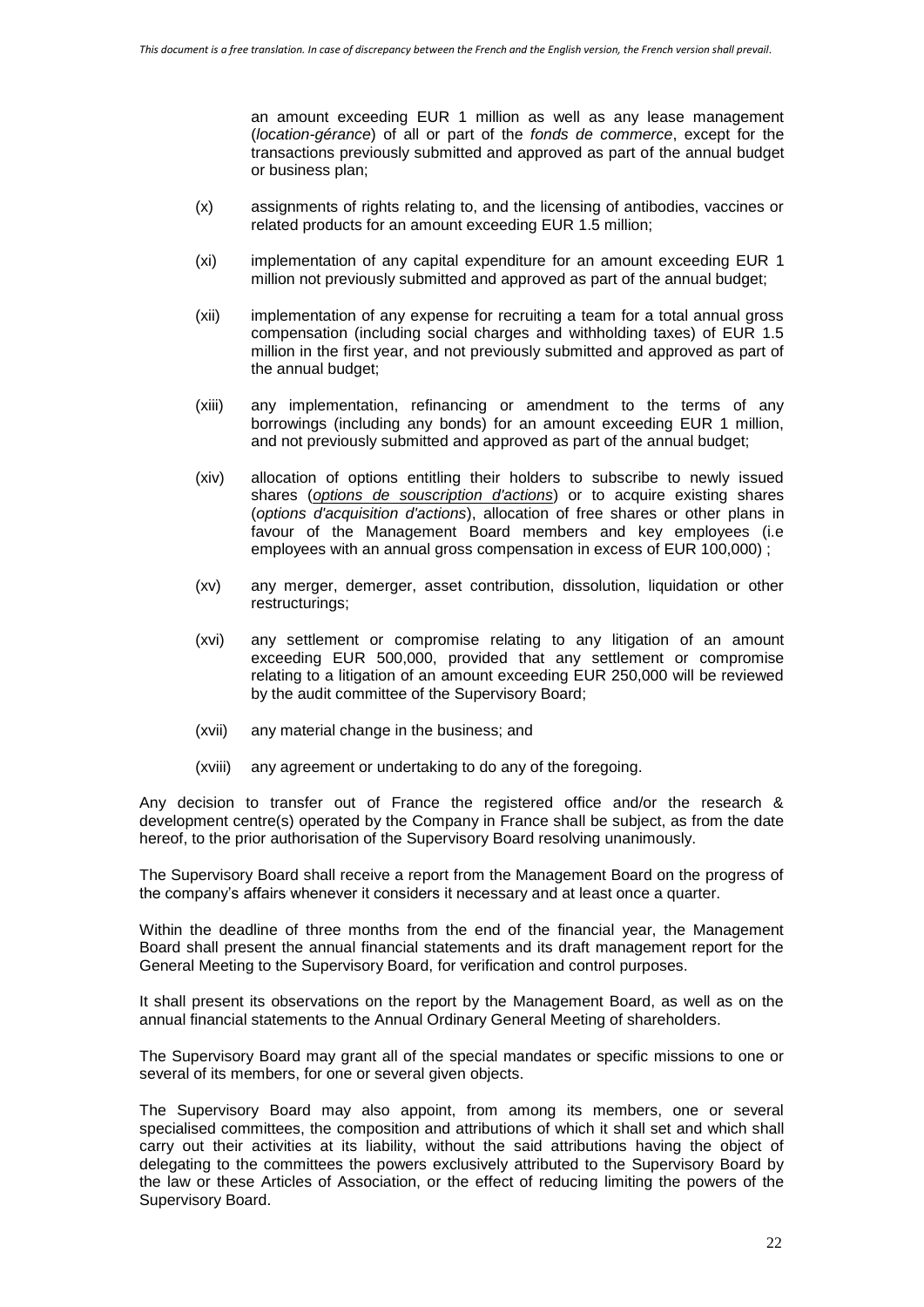an amount exceeding EUR 1 million as well as any lease management (*location-gérance*) of all or part of the *fonds de commerce*, except for the transactions previously submitted and approved as part of the annual budget or business plan;

- (x) assignments of rights relating to, and the licensing of antibodies, vaccines or related products for an amount exceeding EUR 1.5 million;
- (xi) implementation of any capital expenditure for an amount exceeding EUR 1 million not previously submitted and approved as part of the annual budget;
- (xii) implementation of any expense for recruiting a team for a total annual gross compensation (including social charges and withholding taxes) of EUR 1.5 million in the first year, and not previously submitted and approved as part of the annual budget;
- (xiii) any implementation, refinancing or amendment to the terms of any borrowings (including any bonds) for an amount exceeding EUR 1 million, and not previously submitted and approved as part of the annual budget;
- (xiv) allocation of options entitling their holders to subscribe to newly issued shares (*options de souscription d'actions*) or to acquire existing shares (*options d'acquisition d'actions*), allocation of free shares or other plans in favour of the Management Board members and key employees (i.e employees with an annual gross compensation in excess of EUR 100,000) ;
- (xv) any merger, demerger, asset contribution, dissolution, liquidation or other restructurings;
- (xvi) any settlement or compromise relating to any litigation of an amount exceeding EUR 500,000, provided that any settlement or compromise relating to a litigation of an amount exceeding EUR 250,000 will be reviewed by the audit committee of the Supervisory Board;
- (xvii) any material change in the business; and
- (xviii) any agreement or undertaking to do any of the foregoing.

Any decision to transfer out of France the registered office and/or the research & development centre(s) operated by the Company in France shall be subject, as from the date hereof, to the prior authorisation of the Supervisory Board resolving unanimously.

The Supervisory Board shall receive a report from the Management Board on the progress of the company's affairs whenever it considers it necessary and at least once a quarter.

Within the deadline of three months from the end of the financial year, the Management Board shall present the annual financial statements and its draft management report for the General Meeting to the Supervisory Board, for verification and control purposes.

It shall present its observations on the report by the Management Board, as well as on the annual financial statements to the Annual Ordinary General Meeting of shareholders.

The Supervisory Board may grant all of the special mandates or specific missions to one or several of its members, for one or several given objects.

The Supervisory Board may also appoint, from among its members, one or several specialised committees, the composition and attributions of which it shall set and which shall carry out their activities at its liability, without the said attributions having the object of delegating to the committees the powers exclusively attributed to the Supervisory Board by the law or these Articles of Association, or the effect of reducing limiting the powers of the Supervisory Board.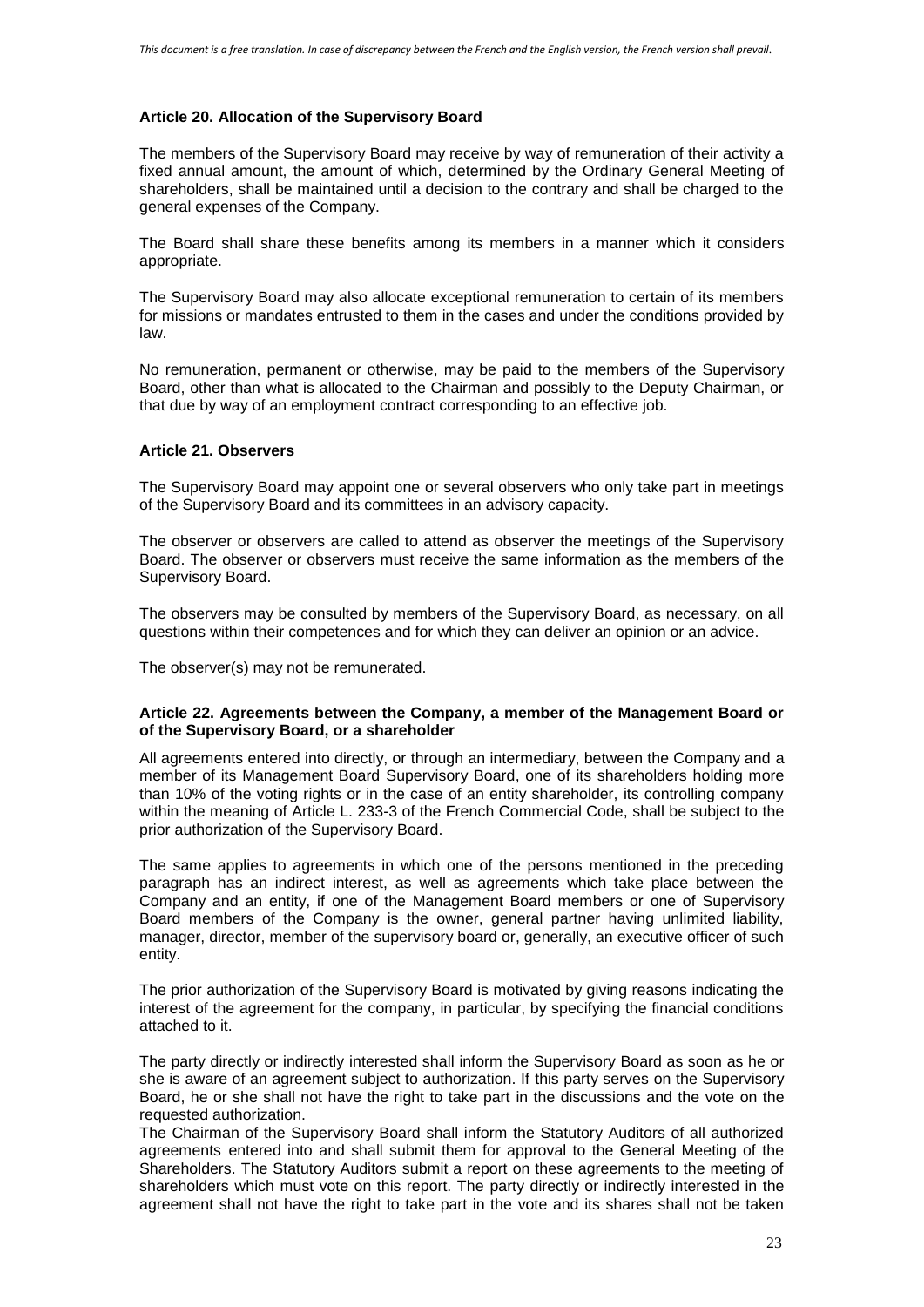## **Article 20. Allocation of the Supervisory Board**

The members of the Supervisory Board may receive by way of remuneration of their activity a fixed annual amount, the amount of which, determined by the Ordinary General Meeting of shareholders, shall be maintained until a decision to the contrary and shall be charged to the general expenses of the Company.

The Board shall share these benefits among its members in a manner which it considers appropriate.

The Supervisory Board may also allocate exceptional remuneration to certain of its members for missions or mandates entrusted to them in the cases and under the conditions provided by law.

No remuneration, permanent or otherwise, may be paid to the members of the Supervisory Board, other than what is allocated to the Chairman and possibly to the Deputy Chairman, or that due by way of an employment contract corresponding to an effective job.

# **Article 21. Observers**

The Supervisory Board may appoint one or several observers who only take part in meetings of the Supervisory Board and its committees in an advisory capacity.

The observer or observers are called to attend as observer the meetings of the Supervisory Board. The observer or observers must receive the same information as the members of the Supervisory Board.

The observers may be consulted by members of the Supervisory Board, as necessary, on all questions within their competences and for which they can deliver an opinion or an advice.

The observer(s) may not be remunerated.

### **Article 22. Agreements between the Company, a member of the Management Board or of the Supervisory Board, or a shareholder**

All agreements entered into directly, or through an intermediary, between the Company and a member of its Management Board Supervisory Board, one of its shareholders holding more than 10% of the voting rights or in the case of an entity shareholder, its controlling company within the meaning of Article [L. 233-3](http://www.legifrance.gouv.fr/affichCodeArticle.do;jsessionid=BBFBF917ACDA236CF744EFF763A47233.tpdila08v_2?cidTexte=LEGITEXT000005634379&idArticle=LEGIARTI000006229187&dateTexte=&categorieLien=cid) of the French Commercial Code, shall be subject to the prior authorization of the Supervisory Board.

The same applies to agreements in which one of the persons mentioned in the preceding paragraph has an indirect interest, as well as agreements which take place between the Company and an entity, if one of the Management Board members or one of Supervisory Board members of the Company is the owner, general partner having unlimited liability, manager, director, member of the supervisory board or, generally, an executive officer of such entity.

The prior authorization of the Supervisory Board is motivated by giving reasons indicating the interest of the agreement for the company, in particular, by specifying the financial conditions attached to it.

The party directly or indirectly interested shall inform the Supervisory Board as soon as he or she is aware of an agreement subject to authorization. If this party serves on the Supervisory Board, he or she shall not have the right to take part in the discussions and the vote on the requested authorization.

The Chairman of the Supervisory Board shall inform the Statutory Auditors of all authorized agreements entered into and shall submit them for approval to the General Meeting of the Shareholders. The Statutory Auditors submit a report on these agreements to the meeting of shareholders which must vote on this report. The party directly or indirectly interested in the agreement shall not have the right to take part in the vote and its shares shall not be taken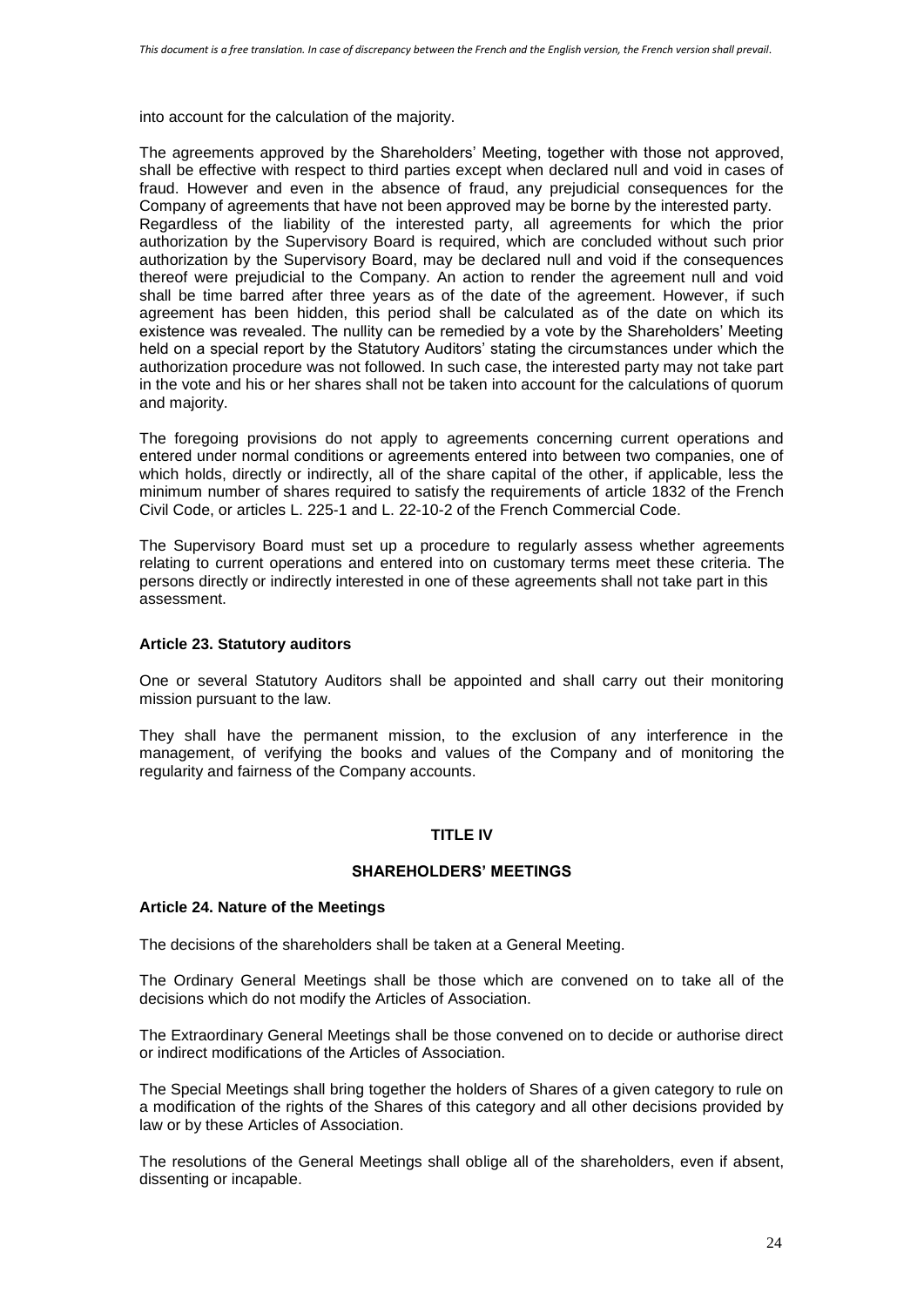into account for the calculation of the majority.

The agreements approved by the Shareholders' Meeting, together with those not approved, shall be effective with respect to third parties except when declared null and void in cases of fraud. However and even in the absence of fraud, any prejudicial consequences for the Company of agreements that have not been approved may be borne by the interested party. Regardless of the liability of the interested party, all agreements for which the prior authorization by the Supervisory Board is required, which are concluded without such prior authorization by the Supervisory Board, may be declared null and void if the consequences thereof were prejudicial to the Company. An action to render the agreement null and void shall be time barred after three years as of the date of the agreement. However, if such agreement has been hidden, this period shall be calculated as of the date on which its existence was revealed. The nullity can be remedied by a vote by the Shareholders' Meeting held on a special report by the Statutory Auditors' stating the circumstances under which the authorization procedure was not followed. In such case, the interested party may not take part in the vote and his or her shares shall not be taken into account for the calculations of quorum and majority.

The foregoing provisions do not apply to agreements concerning current operations and entered under normal conditions or agreements entered into between two companies, one of which holds, directly or indirectly, all of the share capital of the other, if applicable, less the minimum number of shares required to satisfy the requirements of article 1832 of the French Civil Code, or articles L. 225-1 and L. 22-10-2 of the French Commercial Code.

The Supervisory Board must set up a procedure to regularly assess whether agreements relating to current operations and entered into on customary terms meet these criteria. The persons directly or indirectly interested in one of these agreements shall not take part in this assessment.

### **Article 23. Statutory auditors**

One or several Statutory Auditors shall be appointed and shall carry out their monitoring mission pursuant to the law.

They shall have the permanent mission, to the exclusion of any interference in the management, of verifying the books and values of the Company and of monitoring the regularity and fairness of the Company accounts.

# **TITLE IV**

### **SHAREHOLDERS' MEETINGS**

### **Article 24. Nature of the Meetings**

The decisions of the shareholders shall be taken at a General Meeting.

The Ordinary General Meetings shall be those which are convened on to take all of the decisions which do not modify the Articles of Association.

The Extraordinary General Meetings shall be those convened on to decide or authorise direct or indirect modifications of the Articles of Association.

The Special Meetings shall bring together the holders of Shares of a given category to rule on a modification of the rights of the Shares of this category and all other decisions provided by law or by these Articles of Association.

The resolutions of the General Meetings shall oblige all of the shareholders, even if absent, dissenting or incapable.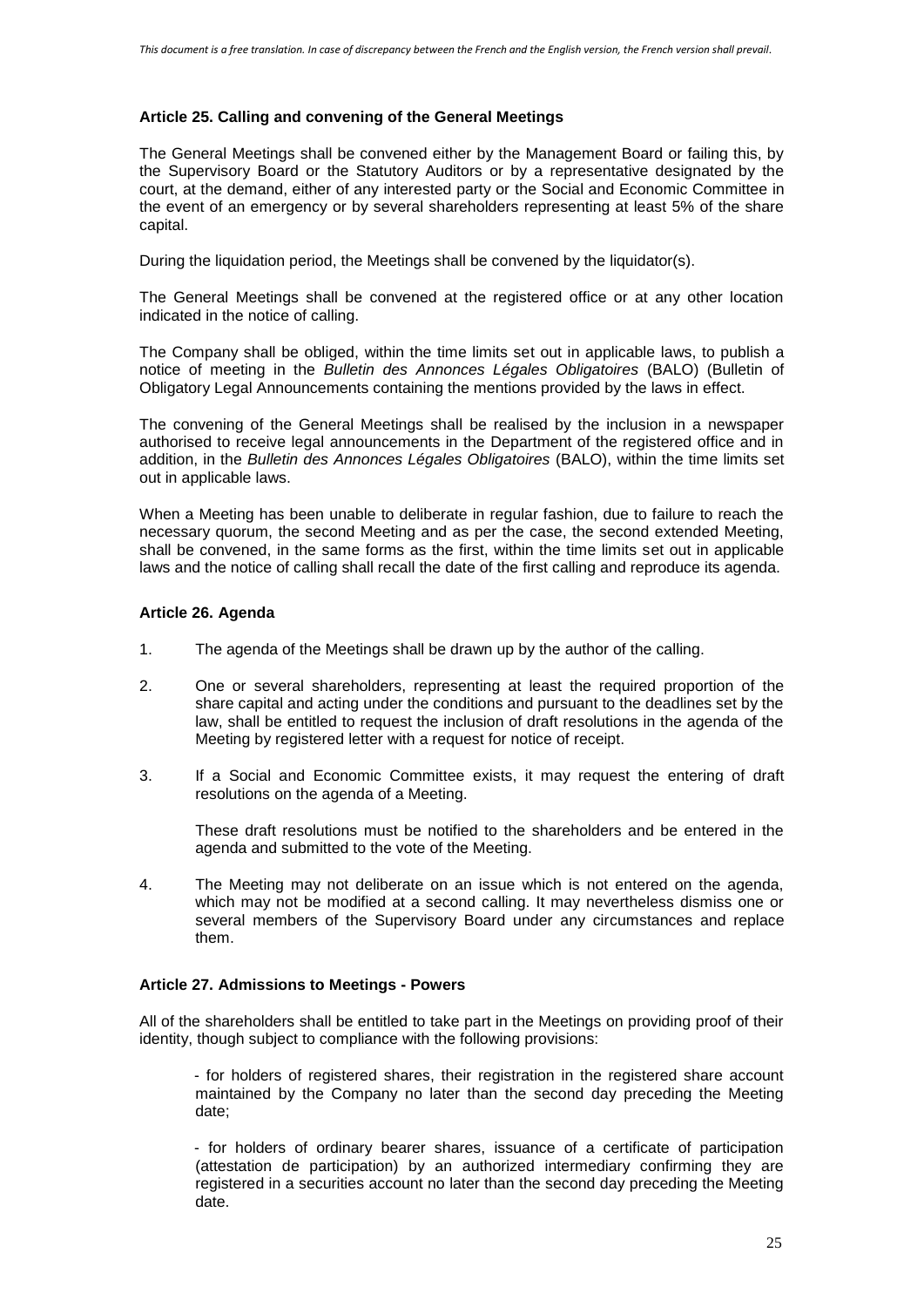# **Article 25. Calling and convening of the General Meetings**

The General Meetings shall be convened either by the Management Board or failing this, by the Supervisory Board or the Statutory Auditors or by a representative designated by the court, at the demand, either of any interested party or the Social and Economic Committee in the event of an emergency or by several shareholders representing at least 5% of the share capital.

During the liquidation period, the Meetings shall be convened by the liquidator(s).

The General Meetings shall be convened at the registered office or at any other location indicated in the notice of calling.

The Company shall be obliged, within the time limits set out in applicable laws, to publish a notice of meeting in the *Bulletin des Annonces Légales Obligatoires* (BALO) (Bulletin of Obligatory Legal Announcements containing the mentions provided by the laws in effect.

The convening of the General Meetings shall be realised by the inclusion in a newspaper authorised to receive legal announcements in the Department of the registered office and in addition, in the *Bulletin des Annonces Légales Obligatoires* (BALO), within the time limits set out in applicable laws.

When a Meeting has been unable to deliberate in regular fashion, due to failure to reach the necessary quorum, the second Meeting and as per the case, the second extended Meeting, shall be convened, in the same forms as the first, within the time limits set out in applicable laws and the notice of calling shall recall the date of the first calling and reproduce its agenda.

### **Article 26. Agenda**

- 1. The agenda of the Meetings shall be drawn up by the author of the calling.
- 2. One or several shareholders, representing at least the required proportion of the share capital and acting under the conditions and pursuant to the deadlines set by the law, shall be entitled to request the inclusion of draft resolutions in the agenda of the Meeting by registered letter with a request for notice of receipt.
- 3. If a Social and Economic Committee exists, it may request the entering of draft resolutions on the agenda of a Meeting.

These draft resolutions must be notified to the shareholders and be entered in the agenda and submitted to the vote of the Meeting.

4. The Meeting may not deliberate on an issue which is not entered on the agenda, which may not be modified at a second calling. It may nevertheless dismiss one or several members of the Supervisory Board under any circumstances and replace them.

### **Article 27. Admissions to Meetings - Powers**

All of the shareholders shall be entitled to take part in the Meetings on providing proof of their identity, though subject to compliance with the following provisions:

- for holders of registered shares, their registration in the registered share account maintained by the Company no later than the second day preceding the Meeting date;

- for holders of ordinary bearer shares, issuance of a certificate of participation (attestation de participation) by an authorized intermediary confirming they are registered in a securities account no later than the second day preceding the Meeting date.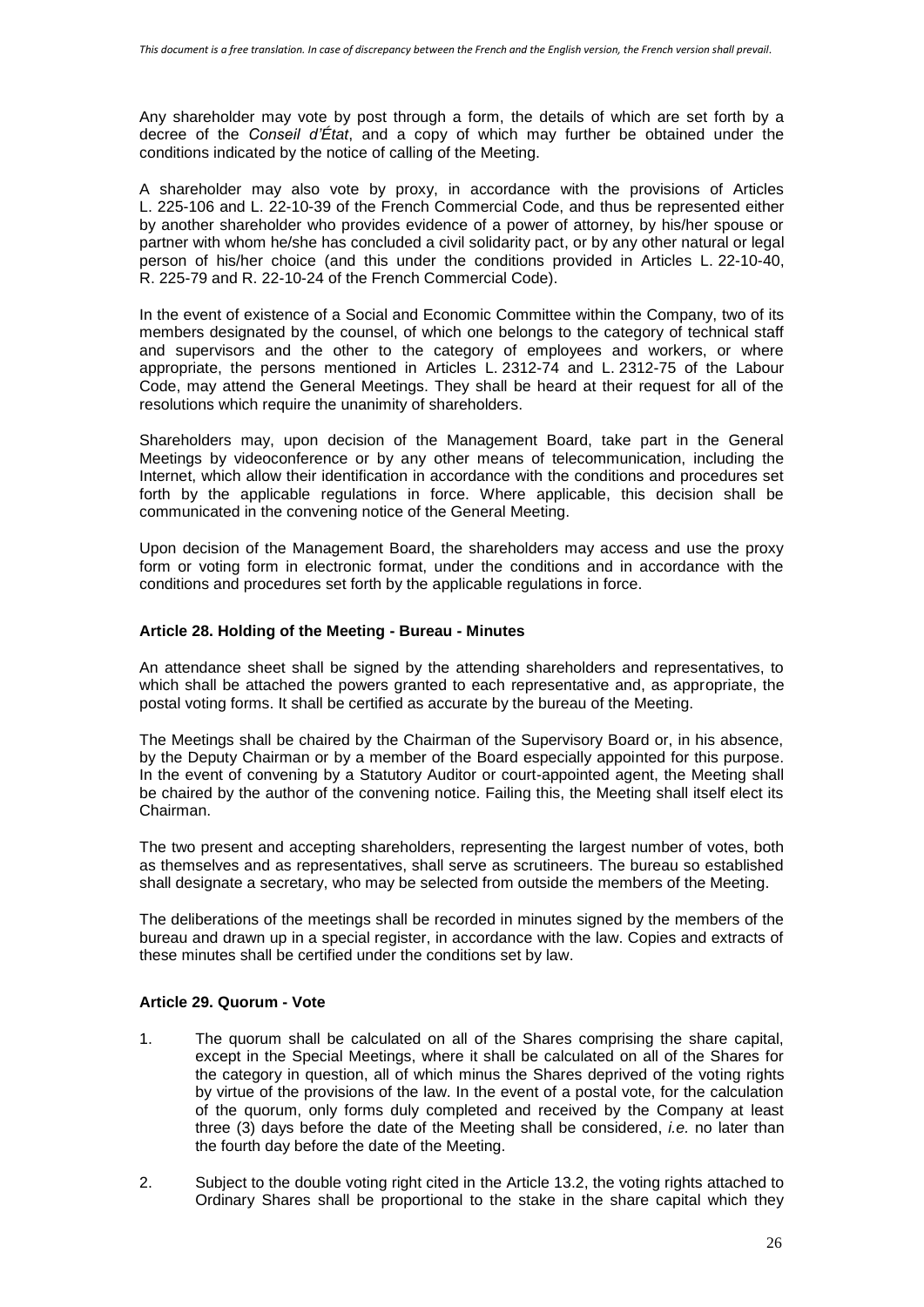Any shareholder may vote by post through a form, the details of which are set forth by a decree of the *Conseil d'État*, and a copy of which may further be obtained under the conditions indicated by the notice of calling of the Meeting.

A shareholder may also vote by proxy, in accordance with the provisions of Articles L. 225-106 and L. 22-10-39 of the French Commercial Code, and thus be represented either by another shareholder who provides evidence of a power of attorney, by his/her spouse or partner with whom he/she has concluded a civil solidarity pact, or by any other natural or legal person of his/her choice (and this under the conditions provided in Articles L. 22-10-40, R. 225-79 and R. 22-10-24 of the French Commercial Code).

In the event of existence of a Social and Economic Committee within the Company, two of its members designated by the counsel, of which one belongs to the category of technical staff and supervisors and the other to the category of employees and workers, or where appropriate, the persons mentioned in Articles L. 2312-74 and L. 2312-75 of the Labour Code, may attend the General Meetings. They shall be heard at their request for all of the resolutions which require the unanimity of shareholders.

Shareholders may, upon decision of the Management Board, take part in the General Meetings by videoconference or by any other means of telecommunication, including the Internet, which allow their identification in accordance with the conditions and procedures set forth by the applicable regulations in force. Where applicable, this decision shall be communicated in the convening notice of the General Meeting.

Upon decision of the Management Board, the shareholders may access and use the proxy form or voting form in electronic format, under the conditions and in accordance with the conditions and procedures set forth by the applicable regulations in force.

### **Article 28. Holding of the Meeting - Bureau - Minutes**

An attendance sheet shall be signed by the attending shareholders and representatives, to which shall be attached the powers granted to each representative and, as appropriate, the postal voting forms. It shall be certified as accurate by the bureau of the Meeting.

The Meetings shall be chaired by the Chairman of the Supervisory Board or, in his absence, by the Deputy Chairman or by a member of the Board especially appointed for this purpose. In the event of convening by a Statutory Auditor or court-appointed agent, the Meeting shall be chaired by the author of the convening notice. Failing this, the Meeting shall itself elect its Chairman.

The two present and accepting shareholders, representing the largest number of votes, both as themselves and as representatives, shall serve as scrutineers. The bureau so established shall designate a secretary, who may be selected from outside the members of the Meeting.

The deliberations of the meetings shall be recorded in minutes signed by the members of the bureau and drawn up in a special register, in accordance with the law. Copies and extracts of these minutes shall be certified under the conditions set by law.

### **Article 29. Quorum - Vote**

- 1. The quorum shall be calculated on all of the Shares comprising the share capital, except in the Special Meetings, where it shall be calculated on all of the Shares for the category in question, all of which minus the Shares deprived of the voting rights by virtue of the provisions of the law. In the event of a postal vote, for the calculation of the quorum, only forms duly completed and received by the Company at least three (3) days before the date of the Meeting shall be considered, *i.e.* no later than the fourth day before the date of the Meeting.
- 2. Subject to the double voting right cited in the Article 13.2, the voting rights attached to Ordinary Shares shall be proportional to the stake in the share capital which they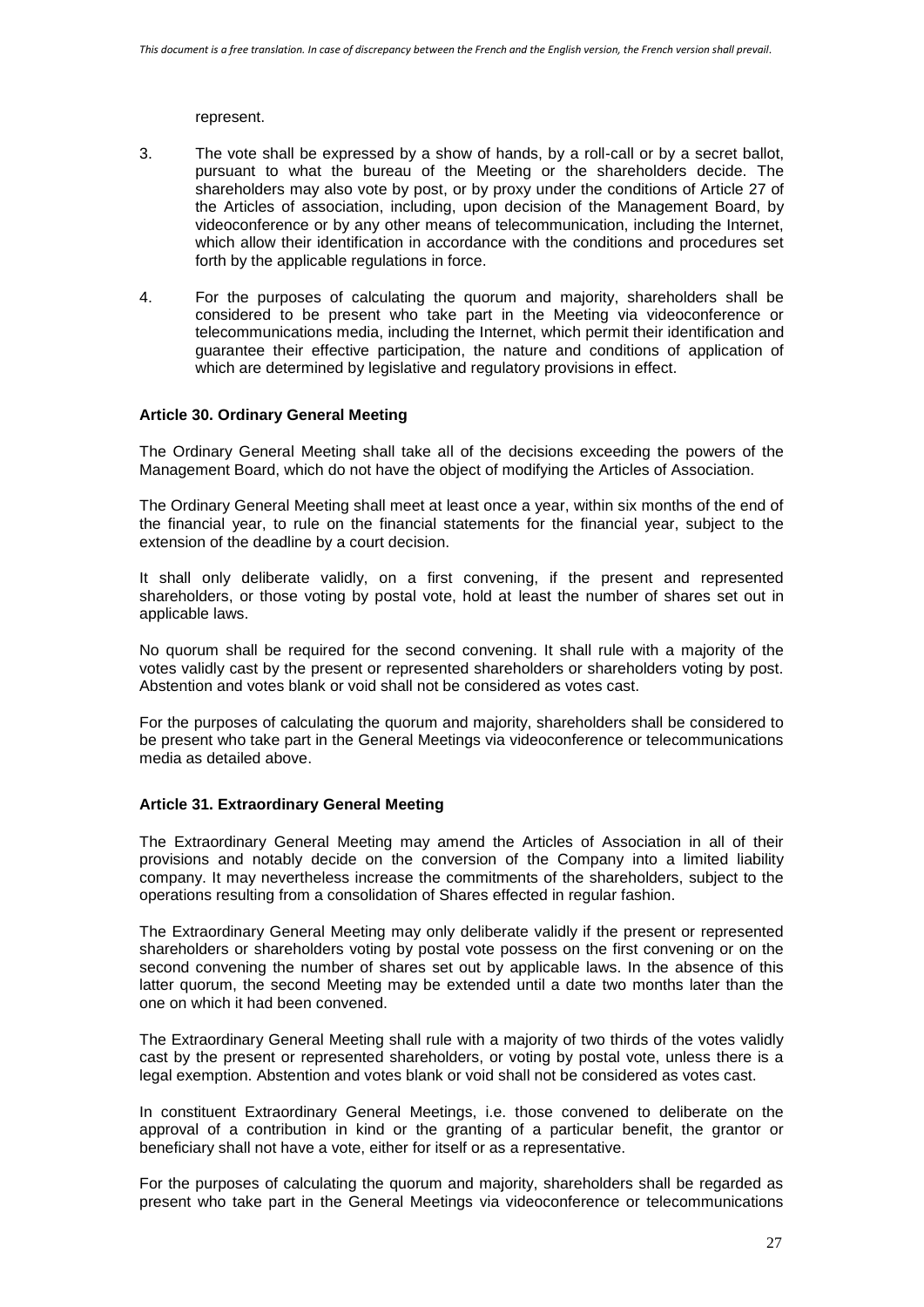represent.

- 3. The vote shall be expressed by a show of hands, by a roll-call or by a secret ballot, pursuant to what the bureau of the Meeting or the shareholders decide. The shareholders may also vote by post, or by proxy under the conditions of Article 27 of the Articles of association, including, upon decision of the Management Board, by videoconference or by any other means of telecommunication, including the Internet, which allow their identification in accordance with the conditions and procedures set forth by the applicable regulations in force.
- 4. For the purposes of calculating the quorum and majority, shareholders shall be considered to be present who take part in the Meeting via videoconference or telecommunications media, including the Internet, which permit their identification and guarantee their effective participation, the nature and conditions of application of which are determined by legislative and regulatory provisions in effect.

### **Article 30. Ordinary General Meeting**

The Ordinary General Meeting shall take all of the decisions exceeding the powers of the Management Board, which do not have the object of modifying the Articles of Association.

The Ordinary General Meeting shall meet at least once a year, within six months of the end of the financial year, to rule on the financial statements for the financial year, subject to the extension of the deadline by a court decision.

It shall only deliberate validly, on a first convening, if the present and represented shareholders, or those voting by postal vote, hold at least the number of shares set out in applicable laws.

No quorum shall be required for the second convening. It shall rule with a majority of the votes validly cast by the present or represented shareholders or shareholders voting by post. Abstention and votes blank or void shall not be considered as votes cast.

For the purposes of calculating the quorum and majority, shareholders shall be considered to be present who take part in the General Meetings via videoconference or telecommunications media as detailed above.

#### **Article 31. Extraordinary General Meeting**

The Extraordinary General Meeting may amend the Articles of Association in all of their provisions and notably decide on the conversion of the Company into a limited liability company. It may nevertheless increase the commitments of the shareholders, subject to the operations resulting from a consolidation of Shares effected in regular fashion.

The Extraordinary General Meeting may only deliberate validly if the present or represented shareholders or shareholders voting by postal vote possess on the first convening or on the second convening the number of shares set out by applicable laws. In the absence of this latter quorum, the second Meeting may be extended until a date two months later than the one on which it had been convened.

The Extraordinary General Meeting shall rule with a majority of two thirds of the votes validly cast by the present or represented shareholders, or voting by postal vote, unless there is a legal exemption. Abstention and votes blank or void shall not be considered as votes cast.

In constituent Extraordinary General Meetings, i.e. those convened to deliberate on the approval of a contribution in kind or the granting of a particular benefit, the grantor or beneficiary shall not have a vote, either for itself or as a representative.

For the purposes of calculating the quorum and majority, shareholders shall be regarded as present who take part in the General Meetings via videoconference or telecommunications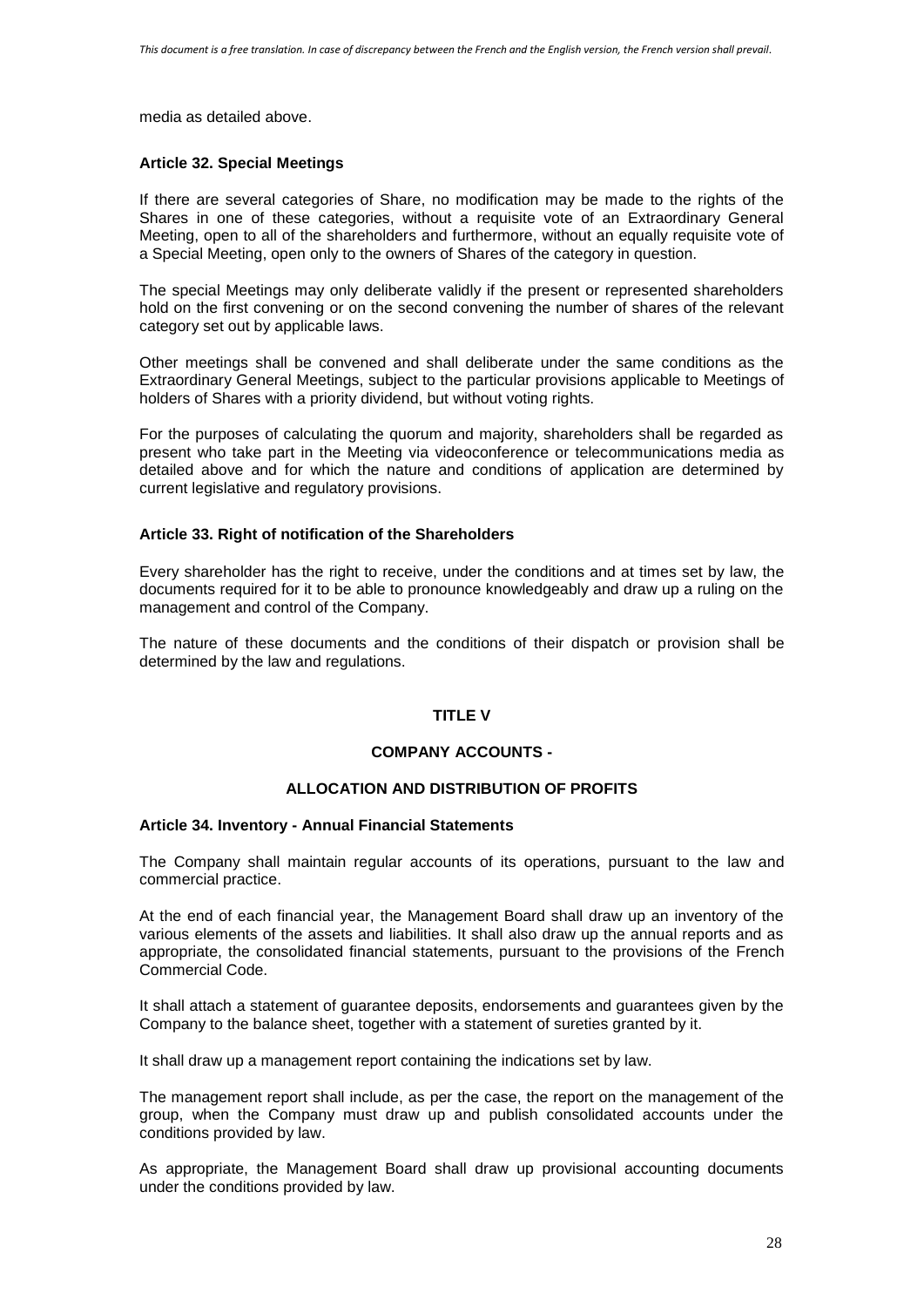media as detailed above.

#### **Article 32. Special Meetings**

If there are several categories of Share, no modification may be made to the rights of the Shares in one of these categories, without a requisite vote of an Extraordinary General Meeting, open to all of the shareholders and furthermore, without an equally requisite vote of a Special Meeting, open only to the owners of Shares of the category in question.

The special Meetings may only deliberate validly if the present or represented shareholders hold on the first convening or on the second convening the number of shares of the relevant category set out by applicable laws.

Other meetings shall be convened and shall deliberate under the same conditions as the Extraordinary General Meetings, subject to the particular provisions applicable to Meetings of holders of Shares with a priority dividend, but without voting rights.

For the purposes of calculating the quorum and majority, shareholders shall be regarded as present who take part in the Meeting via videoconference or telecommunications media as detailed above and for which the nature and conditions of application are determined by current legislative and regulatory provisions.

### **Article 33. Right of notification of the Shareholders**

Every shareholder has the right to receive, under the conditions and at times set by law, the documents required for it to be able to pronounce knowledgeably and draw up a ruling on the management and control of the Company.

The nature of these documents and the conditions of their dispatch or provision shall be determined by the law and regulations.

### **TITLE V**

### **COMPANY ACCOUNTS -**

# **ALLOCATION AND DISTRIBUTION OF PROFITS**

#### **Article 34. Inventory - Annual Financial Statements**

The Company shall maintain regular accounts of its operations, pursuant to the law and commercial practice.

At the end of each financial year, the Management Board shall draw up an inventory of the various elements of the assets and liabilities. It shall also draw up the annual reports and as appropriate, the consolidated financial statements, pursuant to the provisions of the French Commercial Code.

It shall attach a statement of guarantee deposits, endorsements and guarantees given by the Company to the balance sheet, together with a statement of sureties granted by it.

It shall draw up a management report containing the indications set by law.

The management report shall include, as per the case, the report on the management of the group, when the Company must draw up and publish consolidated accounts under the conditions provided by law.

As appropriate, the Management Board shall draw up provisional accounting documents under the conditions provided by law.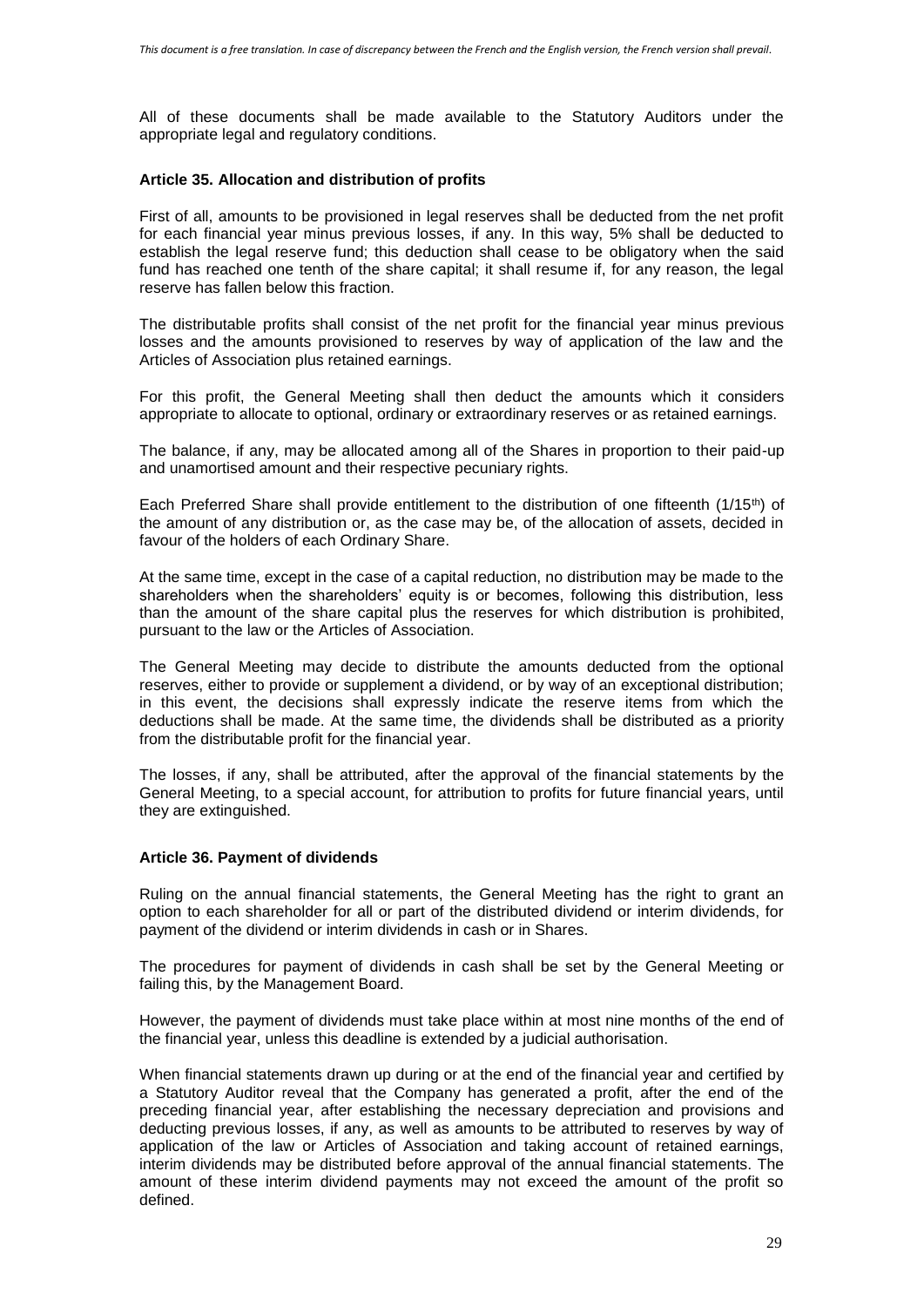All of these documents shall be made available to the Statutory Auditors under the appropriate legal and regulatory conditions.

## **Article 35. Allocation and distribution of profits**

First of all, amounts to be provisioned in legal reserves shall be deducted from the net profit for each financial year minus previous losses, if any. In this way, 5% shall be deducted to establish the legal reserve fund; this deduction shall cease to be obligatory when the said fund has reached one tenth of the share capital; it shall resume if, for any reason, the legal reserve has fallen below this fraction.

The distributable profits shall consist of the net profit for the financial year minus previous losses and the amounts provisioned to reserves by way of application of the law and the Articles of Association plus retained earnings.

For this profit, the General Meeting shall then deduct the amounts which it considers appropriate to allocate to optional, ordinary or extraordinary reserves or as retained earnings.

The balance, if any, may be allocated among all of the Shares in proportion to their paid-up and unamortised amount and their respective pecuniary rights.

Each Preferred Share shall provide entitlement to the distribution of one fifteenth (1/15th) of the amount of any distribution or, as the case may be, of the allocation of assets, decided in favour of the holders of each Ordinary Share.

At the same time, except in the case of a capital reduction, no distribution may be made to the shareholders when the shareholders' equity is or becomes, following this distribution, less than the amount of the share capital plus the reserves for which distribution is prohibited, pursuant to the law or the Articles of Association.

The General Meeting may decide to distribute the amounts deducted from the optional reserves, either to provide or supplement a dividend, or by way of an exceptional distribution; in this event, the decisions shall expressly indicate the reserve items from which the deductions shall be made. At the same time, the dividends shall be distributed as a priority from the distributable profit for the financial year.

The losses, if any, shall be attributed, after the approval of the financial statements by the General Meeting, to a special account, for attribution to profits for future financial years, until they are extinguished.

#### **Article 36. Payment of dividends**

Ruling on the annual financial statements, the General Meeting has the right to grant an option to each shareholder for all or part of the distributed dividend or interim dividends, for payment of the dividend or interim dividends in cash or in Shares.

The procedures for payment of dividends in cash shall be set by the General Meeting or failing this, by the Management Board.

However, the payment of dividends must take place within at most nine months of the end of the financial year, unless this deadline is extended by a judicial authorisation.

When financial statements drawn up during or at the end of the financial year and certified by a Statutory Auditor reveal that the Company has generated a profit, after the end of the preceding financial year, after establishing the necessary depreciation and provisions and deducting previous losses, if any, as well as amounts to be attributed to reserves by way of application of the law or Articles of Association and taking account of retained earnings, interim dividends may be distributed before approval of the annual financial statements. The amount of these interim dividend payments may not exceed the amount of the profit so defined.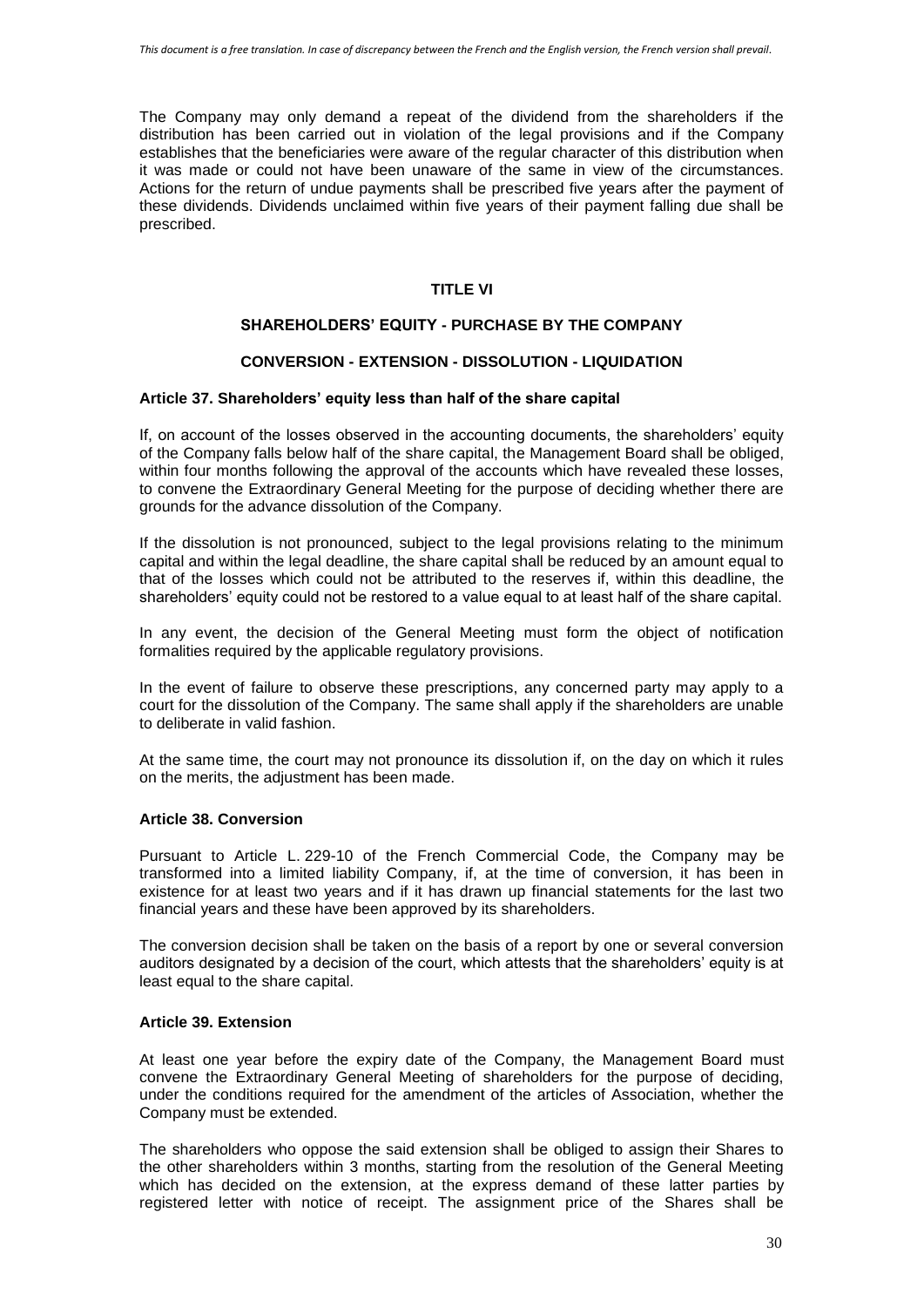The Company may only demand a repeat of the dividend from the shareholders if the distribution has been carried out in violation of the legal provisions and if the Company establishes that the beneficiaries were aware of the regular character of this distribution when it was made or could not have been unaware of the same in view of the circumstances. Actions for the return of undue payments shall be prescribed five years after the payment of these dividends. Dividends unclaimed within five years of their payment falling due shall be prescribed.

# **TITLE VI**

# **SHAREHOLDERS' EQUITY - PURCHASE BY THE COMPANY**

# **CONVERSION - EXTENSION - DISSOLUTION - LIQUIDATION**

### **Article 37. Shareholders' equity less than half of the share capital**

If, on account of the losses observed in the accounting documents, the shareholders' equity of the Company falls below half of the share capital, the Management Board shall be obliged, within four months following the approval of the accounts which have revealed these losses, to convene the Extraordinary General Meeting for the purpose of deciding whether there are grounds for the advance dissolution of the Company.

If the dissolution is not pronounced, subject to the legal provisions relating to the minimum capital and within the legal deadline, the share capital shall be reduced by an amount equal to that of the losses which could not be attributed to the reserves if, within this deadline, the shareholders' equity could not be restored to a value equal to at least half of the share capital.

In any event, the decision of the General Meeting must form the object of notification formalities required by the applicable regulatory provisions.

In the event of failure to observe these prescriptions, any concerned party may apply to a court for the dissolution of the Company. The same shall apply if the shareholders are unable to deliberate in valid fashion.

At the same time, the court may not pronounce its dissolution if, on the day on which it rules on the merits, the adjustment has been made.

### **Article 38. Conversion**

Pursuant to Article L. 229-10 of the French Commercial Code, the Company may be transformed into a limited liability Company, if, at the time of conversion, it has been in existence for at least two years and if it has drawn up financial statements for the last two financial years and these have been approved by its shareholders.

The conversion decision shall be taken on the basis of a report by one or several conversion auditors designated by a decision of the court, which attests that the shareholders' equity is at least equal to the share capital.

## **Article 39. Extension**

At least one year before the expiry date of the Company, the Management Board must convene the Extraordinary General Meeting of shareholders for the purpose of deciding, under the conditions required for the amendment of the articles of Association, whether the Company must be extended.

The shareholders who oppose the said extension shall be obliged to assign their Shares to the other shareholders within 3 months, starting from the resolution of the General Meeting which has decided on the extension, at the express demand of these latter parties by registered letter with notice of receipt. The assignment price of the Shares shall be